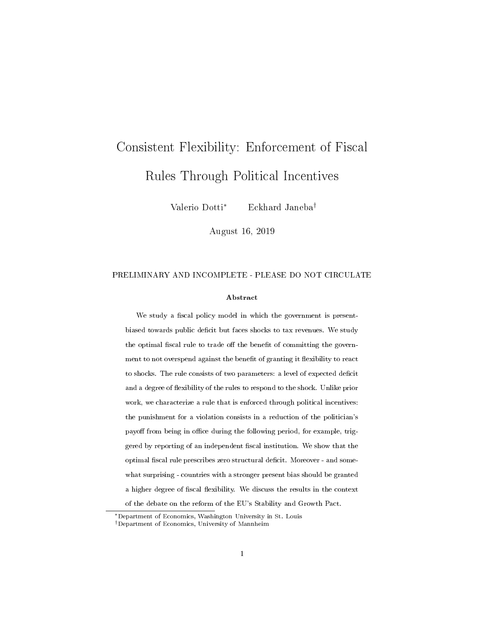# Consistent Flexibility: Enforcement of Fiscal Rules Through Political Incentives

Valerio Dotti<sup>∗</sup> Eckhard Janeba†

August 16, 2019

#### PRELIMINARY AND INCOMPLETE - PLEASE DO NOT CIRCULATE

#### Abstract

We study a fiscal policy model in which the government is presentbiased towards public deficit but faces shocks to tax revenues. We study the optimal fiscal rule to trade off the benefit of committing the government to not overspend against the benefit of granting it flexibility to react to shocks. The rule consists of two parameters: a level of expected deficit and a degree of flexibility of the rules to respond to the shock. Unlike prior work, we characterize a rule that is enforced through political incentives: the punishment for a violation consists in a reduction of the politician's payoff from being in office during the following period, for example, triggered by reporting of an independent fiscal institution. We show that the optimal fiscal rule prescribes zero structural deficit. Moreover - and somewhat surprising - countries with a stronger present bias should be granted a higher degree of fiscal flexibility. We discuss the results in the context of the debate on the reform of the EU's Stability and Growth Pact.

<sup>∗</sup>Department of Economics, Washington University in St. Louis

<sup>†</sup>Department of Economics, University of Mannheim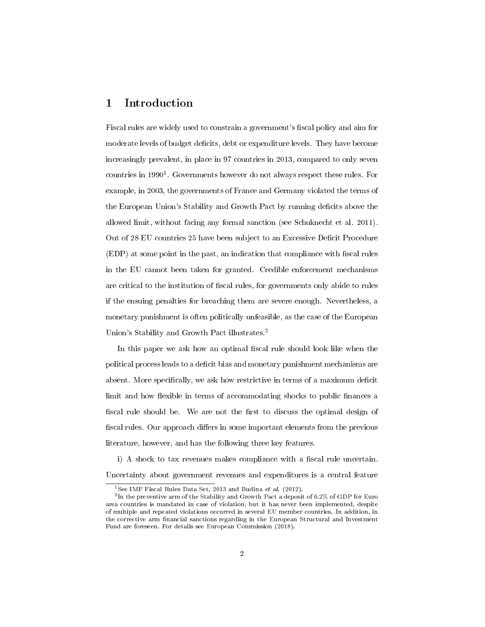# 1 Introduction

Fiscal rules are widely used to constrain a government's fiscal policy and aim for moderate levels of budget deficits, debt or expenditure levels. They have become increasingly prevalent, in place in 97 countries in 2013, compared to only seven countries in 1990<sup>1</sup>. Governments however do not always respect these rules. For example, in 2003, the governments of France and Germany violated the terms of the European Union's Stability and Growth Pact by running deficits above the allowed limit, without facing any formal sanction (see Schuknecht et al. 2011). Out of 28 EU countries 25 have been subject to an Excessive Deficit Procedure  $(EDP)$  at some point in the past, an indication that compliance with fiscal rules in the EU cannot been taken for granted. Credible enforcement mechanisms are critical to the institution of fiscal rules, for governments only abide to rules if the ensuing penalties for breaching them are severe enough. Nevertheless, a monetary punishment is often politically unfeasible, as the case of the European Union's Stability and Growth Pact illustrates.<sup>2</sup>

In this paper we ask how an optimal fiscal rule should look like when the political process leads to a decit bias and monetary punishment mechanisms are absent. More specifically, we ask how restrictive in terms of a maximum deficit limit and how flexible in terms of accommodating shocks to public finances a fiscal rule should be. We are not the first to discuss the optimal design of fiscal rules. Our approach differs in some important elements from the previous literature, however, and has the following three key features.

i) A shock to tax revenues makes compliance with a fiscal rule uncertain. Uncertainty about government revenues and expenditures is a central feature

<sup>&</sup>lt;sup>1</sup>See IMF Fiscal Rules Data Set, 2013 and Budina et al. (2012).

 $^2$ In the preventive arm of the Stability and Growth Pact a deposit of 0.2% of GDP for Euro area countries is mandated in case of violation, but it has never been implemented, despite of multiple and repeated violations occurred in several EU member countries. In addition, in the corrective arm financial sanctions regarding in the European Structural and Investment Fund are foreseen. For details see European Commission (2018).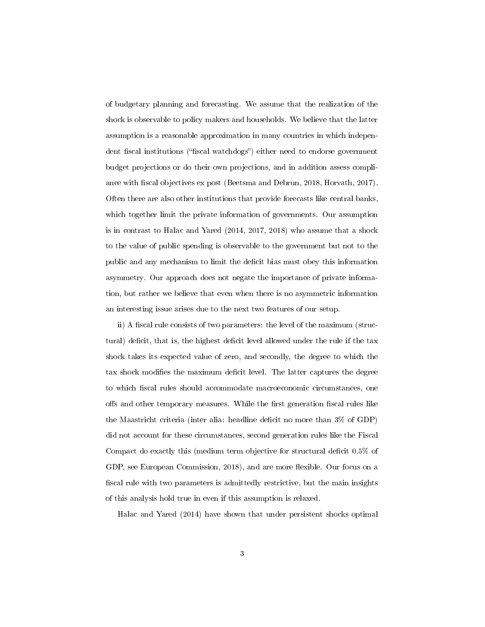of budgetary planning and forecasting. We assume that the realization of the shock is observable to policy makers and households. We believe that the latter assumption is a reasonable approximation in many countries in which independent fiscal institutions ("fiscal watchdogs") either need to endorse government budget projections or do their own projections, and in addition assess compliance with fiscal objectives ex post (Beetsma and Debrun, 2018, Horvath, 2017). Often there are also other institutions that provide forecasts like central banks, which together limit the private information of governments. Our assumption is in contrast to Halac and Yared (2014, 2017, 2018) who assume that a shock to the value of public spending is observable to the government but not to the public and any mechanism to limit the decit bias must obey this information asymmetry. Our approach does not negate the importance of private information, but rather we believe that even when there is no asymmetric information an interesting issue arises due to the next two features of our setup.

ii) A fiscal rule consists of two parameters: the level of the maximum (structural) deficit, that is, the highest deficit level allowed under the rule if the tax shock takes its expected value of zero, and secondly, the degree to which the tax shock modifies the maximum deficit level. The latter captures the degree to which fiscal rules should accommodate macroeconomic circumstances, one offs and other temporary measures. While the first generation fiscal rules like the Maastricht criteria (inter alia: headline deficit no more than  $3\%$  of GDP) did not account for these circumstances, second generation rules like the Fiscal Compact do exactly this (medium term objective for structural deficit 0.5% of GDP, see European Commission, 2018), and are more flexible. Our focus on a fiscal rule with two parameters is admittedly restrictive, but the main insights of this analysis hold true in even if this assumption is relaxed.

Halac and Yared (2014) have shown that under persistent shocks optimal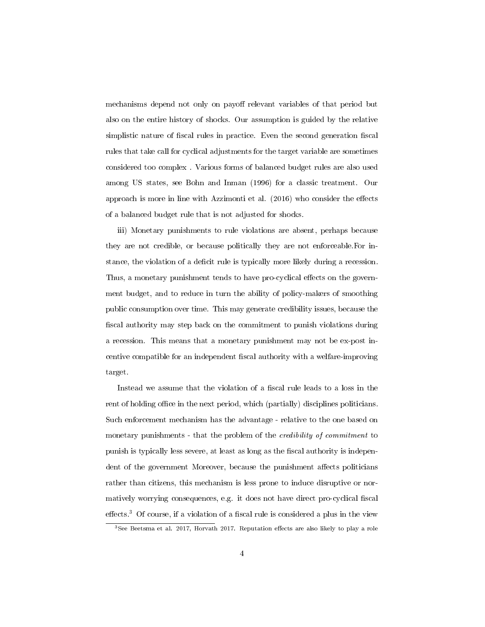mechanisms depend not only on payoff relevant variables of that period but also on the entire history of shocks. Our assumption is guided by the relative simplistic nature of fiscal rules in practice. Even the second generation fiscal rules that take call for cyclical adjustments for the target variable are sometimes considered too complex . Various forms of balanced budget rules are also used among US states, see Bohn and Inman (1996) for a classic treatment. Our approach is more in line with Azzimonti et al.  $(2016)$  who consider the effects of a balanced budget rule that is not adjusted for shocks.

iii) Monetary punishments to rule violations are absent, perhaps because they are not credible, or because politically they are not enforceable.For instance, the violation of a deficit rule is typically more likely during a recession. Thus, a monetary punishment tends to have pro-cyclical effects on the government budget, and to reduce in turn the ability of policy-makers of smoothing public consumption over time. This may generate credibility issues, because the fiscal authority may step back on the commitment to punish violations during a recession. This means that a monetary punishment may not be ex-post incentive compatible for an independent fiscal authority with a welfare-improving target.

Instead we assume that the violation of a fiscal rule leads to a loss in the rent of holding office in the next period, which (partially) disciplines politicians. Such enforcement mechanism has the advantage - relative to the one based on monetary punishments - that the problem of the credibility of commitment to punish is typically less severe, at least as long as the fiscal authority is independent of the government Moreover, because the punishment affects politicians rather than citizens, this mechanism is less prone to induce disruptive or normatively worrying consequences, e.g. it does not have direct pro-cyclical fiscal effects.<sup>3</sup> Of course, if a violation of a fiscal rule is considered a plus in the view

 $3$ See Beetsma et al. 2017, Horvath 2017. Reputation effects are also likely to play a role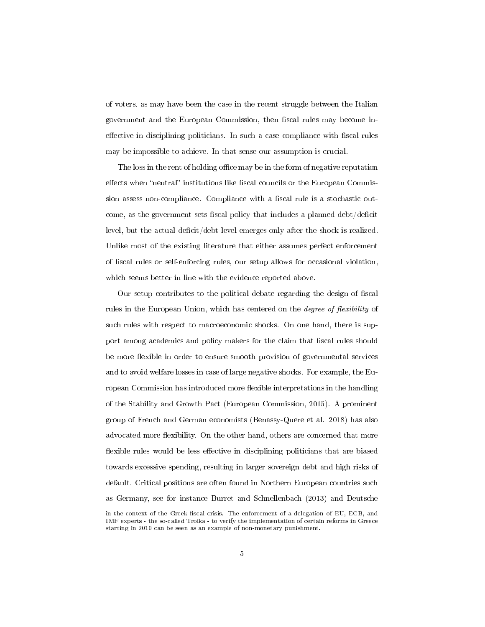of voters, as may have been the case in the recent struggle between the Italian government and the European Commission, then fiscal rules may become ineffective in disciplining politicians. In such a case compliance with fiscal rules may be impossible to achieve. In that sense our assumption is crucial.

The loss in the rent of holding office may be in the form of negative reputation effects when "neutral" institutions like fiscal councils or the European Commission assess non-compliance. Compliance with a fiscal rule is a stochastic outcome, as the government sets fiscal policy that includes a planned debt/deficit level, but the actual deficit/debt level emerges only after the shock is realized. Unlike most of the existing literature that either assumes perfect enforcement of fiscal rules or self-enforcing rules, our setup allows for occasional violation, which seems better in line with the evidence reported above.

Our setup contributes to the political debate regarding the design of fiscal rules in the European Union, which has centered on the *degree of flexibility* of such rules with respect to macroeconomic shocks. On one hand, there is support among academics and policy makers for the claim that fiscal rules should be more flexible in order to ensure smooth provision of governmental services and to avoid welfare losses in case of large negative shocks. For example, the European Commission has introduced more flexible interpretations in the handling of the Stability and Growth Pact (European Commission, 2015). A prominent group of French and German economists (Benassy-Quere et al. 2018) has also advocated more flexibility. On the other hand, others are concerned that more flexible rules would be less effective in disciplining politicians that are biased towards excessive spending, resulting in larger sovereign debt and high risks of default. Critical positions are often found in Northern European countries such as Germany, see for instance Burret and Schnellenbach (2013) and Deutsche

in the context of the Greek fiscal crisis. The enforcement of a delegation of EU, ECB, and IMF experts - the so-called Troika - to verify the implementation of certain reforms in Greece starting in 2010 can be seen as an example of non-monetary punishment.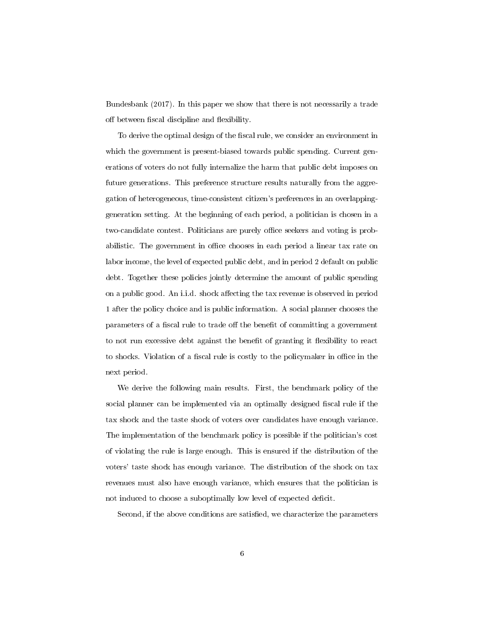Bundesbank (2017). In this paper we show that there is not necessarily a trade off between fiscal discipline and flexibility.

To derive the optimal design of the fiscal rule, we consider an environment in which the government is present-biased towards public spending. Current generations of voters do not fully internalize the harm that public debt imposes on future generations. This preference structure results naturally from the aggregation of heterogeneous, time-consistent citizen's preferences in an overlappinggeneration setting. At the beginning of each period, a politician is chosen in a two-candidate contest. Politicians are purely office seekers and voting is probabilistic. The government in office chooses in each period a linear tax rate on labor income, the level of expected public debt, and in period 2 default on public debt. Together these policies jointly determine the amount of public spending on a public good. An i.i.d. shock affecting the tax revenue is observed in period 1 after the policy choice and is public information. A social planner chooses the parameters of a fiscal rule to trade off the benefit of committing a government to not run excessive debt against the benefit of granting it flexibility to react to shocks. Violation of a fiscal rule is costly to the policymaker in office in the next period.

We derive the following main results. First, the benchmark policy of the social planner can be implemented via an optimally designed fiscal rule if the tax shock and the taste shock of voters over candidates have enough variance. The implementation of the benchmark policy is possible if the politician's cost of violating the rule is large enough. This is ensured if the distribution of the voters' taste shock has enough variance. The distribution of the shock on tax revenues must also have enough variance, which ensures that the politician is not induced to choose a suboptimally low level of expected deficit.

Second, if the above conditions are satisfied, we characterize the parameters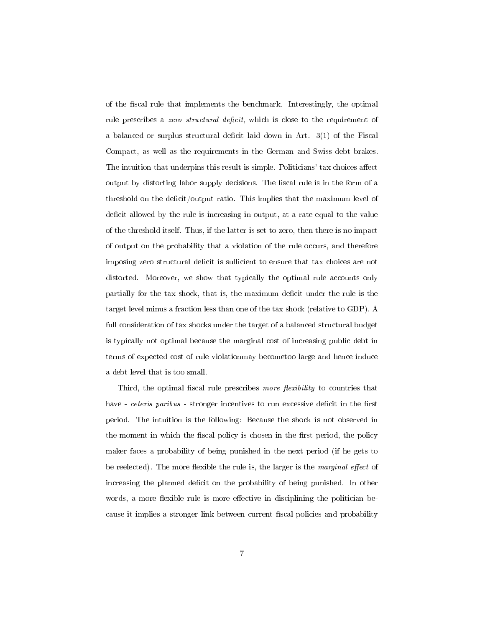of the fiscal rule that implements the benchmark. Interestingly, the optimal rule prescribes a zero structural deficit, which is close to the requirement of a balanced or surplus structural deficit laid down in Art.  $3(1)$  of the Fiscal Compact, as well as the requirements in the German and Swiss debt brakes. The intuition that underpins this result is simple. Politicians' tax choices affect output by distorting labor supply decisions. The fiscal rule is in the form of a threshold on the deficit/output ratio. This implies that the maximum level of deficit allowed by the rule is increasing in output, at a rate equal to the value of the threshold itself. Thus, if the latter is set to zero, then there is no impact of output on the probability that a violation of the rule occurs, and therefore imposing zero structural deficit is sufficient to ensure that tax choices are not distorted. Moreover, we show that typically the optimal rule accounts only partially for the tax shock, that is, the maximum deficit under the rule is the target level minus a fraction less than one of the tax shock (relative to GDP). A full consideration of tax shocks under the target of a balanced structural budget is typically not optimal because the marginal cost of increasing public debt in terms of expected cost of rule violationmay becometoo large and hence induce a debt level that is too small.

Third, the optimal fiscal rule prescribes more flexibility to countries that have - ceteris paribus - stronger incentives to run excessive deficit in the first period. The intuition is the following: Because the shock is not observed in the moment in which the fiscal policy is chosen in the first period, the policy maker faces a probability of being punished in the next period (if he gets to be reelected). The more flexible the rule is, the larger is the marginal effect of increasing the planned deficit on the probability of being punished. In other words, a more flexible rule is more effective in disciplining the politician because it implies a stronger link between current fiscal policies and probability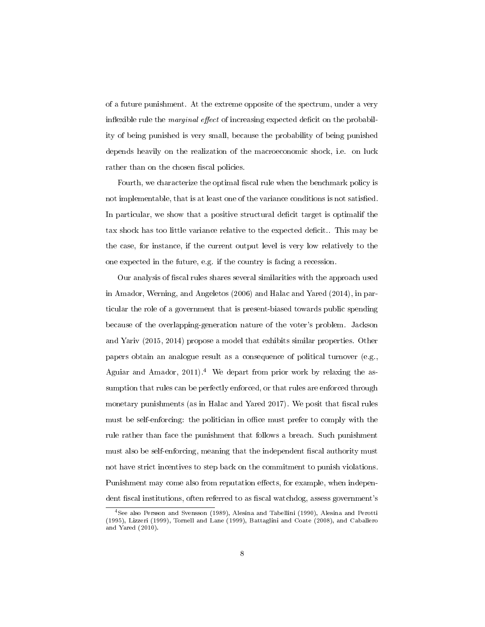of a future punishment. At the extreme opposite of the spectrum, under a very inflexible rule the *marginal effect* of increasing expected deficit on the probability of being punished is very small, because the probability of being punished depends heavily on the realization of the macroeconomic shock, i.e. on luck rather than on the chosen fiscal policies.

Fourth, we characterize the optimal fiscal rule when the benchmark policy is not implementable, that is at least one of the variance conditions is not satisfied. In particular, we show that a positive structural decit target is optimalif the tax shock has too little variance relative to the expected deficit.. This may be the case, for instance, if the current output level is very low relatively to the one expected in the future, e.g. if the country is facing a recession.

Our analysis of fiscal rules shares several similarities with the approach used in Amador, Werning, and Angeletos (2006) and Halac and Yared (2014), in particular the role of a government that is present-biased towards public spending because of the overlapping-generation nature of the voter's problem. Jackson and Yariv (2015, 2014) propose a model that exhibits similar properties. Other papers obtain an analogue result as a consequence of political turnover (e.g., Aguiar and Amador,  $2011$ .<sup>4</sup> We depart from prior work by relaxing the assumption that rules can be perfectly enforced, or that rules are enforced through monetary punishments (as in Halac and Yared 2017). We posit that fiscal rules must be self-enforcing: the politician in office must prefer to comply with the rule rather than face the punishment that follows a breach. Such punishment must also be self-enforcing, meaning that the independent fiscal authority must not have strict incentives to step back on the commitment to punish violations. Punishment may come also from reputation effects, for example, when independent fiscal institutions, often referred to as fiscal watchdog, assess government's

<sup>4</sup>See also Persson and Svensson (1989), Alesina and Tabellini (1990), Alesina and Perotti (1995), Lizzeri (1999), Tornell and Lane (1999), Battaglini and Coate (2008), and Caballero and Yared (2010).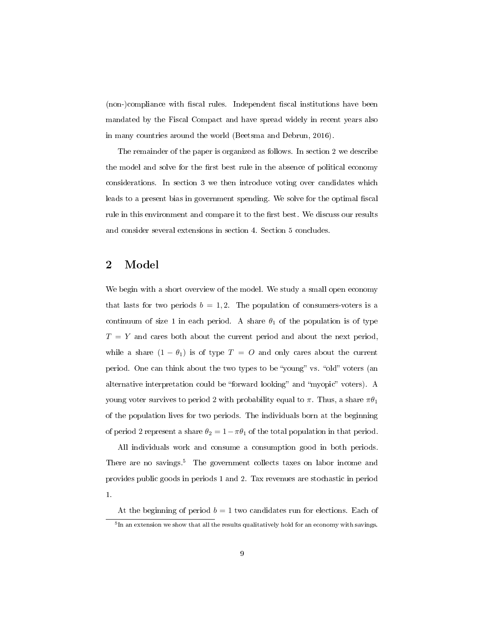(non-)compliance with fiscal rules. Independent fiscal institutions have been mandated by the Fiscal Compact and have spread widely in recent years also in many countries around the world (Beetsma and Debrun, 2016).

The remainder of the paper is organized as follows. In section 2 we describe the model and solve for the first best rule in the absence of political economy considerations. In section 3 we then introduce voting over candidates which leads to a present bias in government spending. We solve for the optimal fiscal rule in this environment and compare it to the first best. We discuss our results and consider several extensions in section 4. Section 5 concludes.

# 2 Model

We begin with a short overview of the model. We study a small open economy that lasts for two periods  $b = 1, 2$ . The population of consumers-voters is a continuum of size 1 in each period. A share  $\theta_1$  of the population is of type  $T = Y$  and cares both about the current period and about the next period, while a share  $(1 - \theta_1)$  is of type  $T = O$  and only cares about the current period. One can think about the two types to be "young" vs. "old" voters (an alternative interpretation could be "forward looking" and "myopic" voters). A young voter survives to period 2 with probability equal to  $\pi$ . Thus, a share  $\pi\theta_1$ of the population lives for two periods. The individuals born at the beginning of period 2 represent a share  $\theta_2 = 1 - \pi \theta_1$  of the total population in that period.

All individuals work and consume a consumption good in both periods. There are no savings.<sup>5</sup> The government collects taxes on labor income and provides public goods in periods 1 and 2. Tax revenues are stochastic in period 1.

At the beginning of period  $b = 1$  two candidates run for elections. Each of

 $^5\!$ In an extension we show that all the results qualitatively hold for an economy with savings.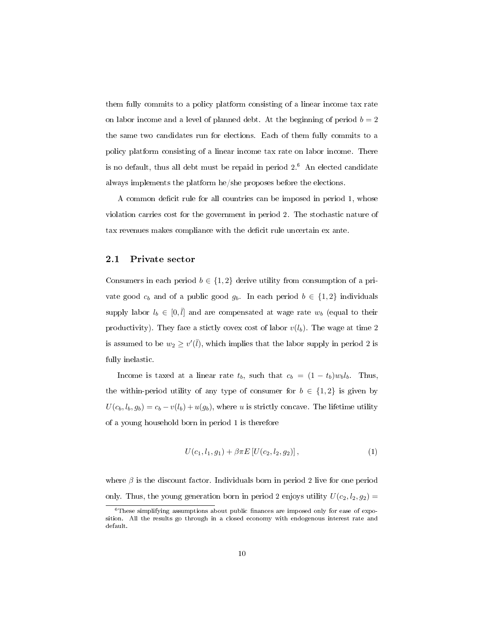them fully commits to a policy platform consisting of a linear income tax rate on labor income and a level of planned debt. At the beginning of period  $b = 2$ the same two candidates run for elections. Each of them fully commits to a policy platform consisting of a linear income tax rate on labor income. There is no default, thus all debt must be repaid in period  $2<sup>6</sup>$  An elected candidate always implements the platform he/she proposes before the elections.

A common deficit rule for all countries can be imposed in period 1, whose violation carries cost for the government in period 2. The stochastic nature of tax revenues makes compliance with the deficit rule uncertain ex ante.

#### 2.1 Private sector

Consumers in each period  $b \in \{1,2\}$  derive utility from consumption of a private good  $c_b$  and of a public good  $g_b$ . In each period  $b \in \{1,2\}$  individuals supply labor  $l_b \in [0, \bar{l}]$  and are compensated at wage rate  $w_b$  (equal to their productivity). They face a stictly covex cost of labor  $v(l_b)$ . The wage at time 2 is assumed to be  $w_2 \ge v'(\bar{l})$ , which implies that the labor supply in period 2 is fully inelastic.

Income is taxed at a linear rate  $t_b$ , such that  $c_b = (1 - t_b)w_b l_b$ . Thus, the within-period utility of any type of consumer for  $b \in \{1,2\}$  is given by  $U(c_b, l_b, g_b) = c_b - v(l_b) + u(g_b)$ , where u is strictly concave. The lifetime utility of a young household born in period 1 is therefore

$$
U(c_1, l_1, g_1) + \beta \pi E \left[ U(c_2, l_2, g_2) \right], \tag{1}
$$

where  $\beta$  is the discount factor. Individuals born in period 2 live for one period only. Thus, the young generation born in period 2 enjoys utility  $U(c_2, l_2, g_2) =$ 

 $6$ These simplifying assumptions about public finances are imposed only for ease of exposition. All the results go through in a closed economy with endogenous interest rate and default.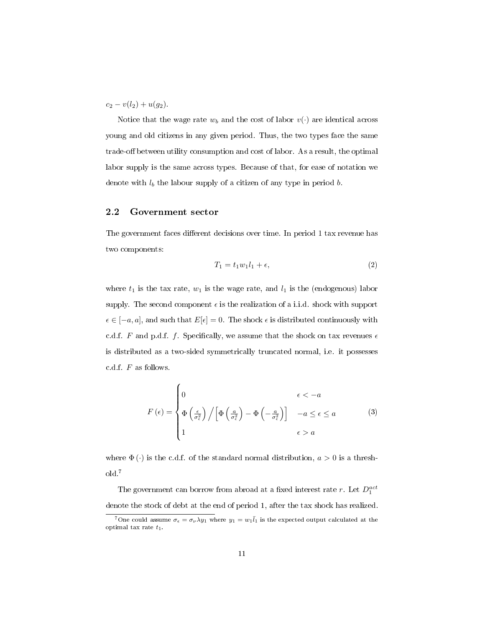$c_2 - v(l_2) + u(g_2)$ .

Notice that the wage rate  $w_b$  and the cost of labor  $v(\cdot)$  are identical across young and old citizens in any given period. Thus, the two types face the same trade-off between utility consumption and cost of labor. As a result, the optimal labor supply is the same across types. Because of that, for ease of notation we denote with  $l_b$  the labour supply of a citizen of any type in period  $b$ .

#### 2.2 Government sector

The government faces different decisions over time. In period 1 tax revenue has two components:

$$
T_1 = t_1 w_1 l_1 + \epsilon,\tag{2}
$$

where  $t_1$  is the tax rate,  $w_1$  is the wage rate, and  $l_1$  is the (endogenous) labor supply. The second component  $\epsilon$  is the realization of a i.i.d. shock with support  $\epsilon \in [-a, a]$ , and such that  $E[\epsilon] = 0$ . The shock  $\epsilon$  is distributed continuously with c.d.f. F and p.d.f. f. Specifically, we assume that the shock on tax revenues  $\epsilon$ is distributed as a two-sided symmetrically truncated normal, i.e. it possesses c.d.f. F as follows.

$$
F(\epsilon) = \begin{cases} 0 & \epsilon < -a \\ \Phi\left(\frac{\epsilon}{\sigma_{\epsilon}^{2}}\right) / \left[\Phi\left(\frac{a}{\sigma_{\epsilon}^{2}}\right) - \Phi\left(-\frac{a}{\sigma_{\epsilon}^{2}}\right)\right] & -a \leq \epsilon \leq a \\ 1 & \epsilon > a \end{cases}
$$
(3)

where  $\Phi(\cdot)$  is the c.d.f. of the standard normal distribution,  $a > 0$  is a threshold.<sup>7</sup>

The government can borrow from abroad at a fixed interest rate  $r$ . Let  $D_1^{act}$ denote the stock of debt at the end of period 1, after the tax shock has realized.

 $^7$ One could assume  $\sigma_\epsilon=\sigma_\nu\lambda y_1$  where  $y_1=w_1\bar{l}_1$  is the expected output calculated at the optimal tax rate  $t_1$ .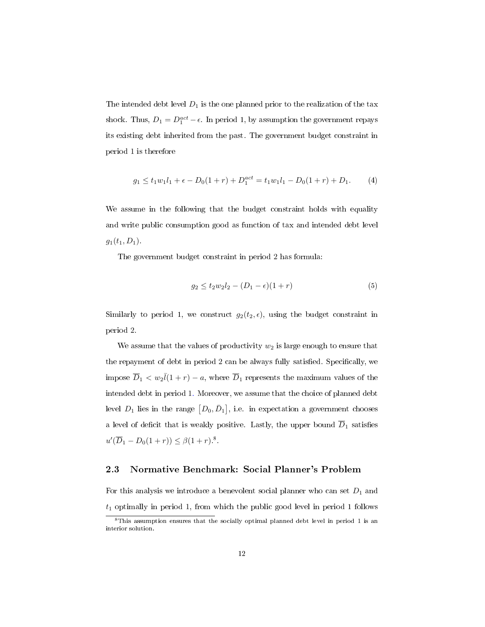The intended debt level  $D_1$  is the one planned prior to the realization of the tax shock. Thus,  $D_1 = D_1^{act} - \epsilon$ . In period 1, by assumption the government repays its existing debt inherited from the past. The government budget constraint in period 1 is therefore

$$
g_1 \le t_1 w_1 l_1 + \epsilon - D_0 (1+r) + D_1^{act} = t_1 w_1 l_1 - D_0 (1+r) + D_1.
$$
 (4)

We assume in the following that the budget constraint holds with equality and write public consumption good as function of tax and intended debt level  $g_1(t_1, D_1)$ .

The government budget constraint in period 2 has formula:

$$
g_2 \le t_2 w_2 l_2 - (D_1 - \epsilon)(1+r) \tag{5}
$$

Similarly to period 1, we construct  $g_2(t_2, \epsilon)$ , using the budget constraint in period 2.

We assume that the values of productivity  $w_2$  is large enough to ensure that the repayment of debt in period 2 can be always fully satisfied. Specifically, we impose  $\overline{D}_1 < w_2 \overline{l}(1+r) - a$ , where  $\overline{D}_1$  represents the maximum values of the intended debt in period 1. Moreover, we assume that the choice of planned debt level  $D_1$  lies in the range  $[D_0, \bar{D}_1]$ , i.e. in expectation a government chooses a level of deficit that is weakly positive. Lastly, the upper bound  $\overline{D}_1$  satisfies  $u'(\overline{D}_1 - D_0(1+r)) \leq \beta(1+r).$ <sup>8</sup>.

## 2.3 Normative Benchmark: Social Planner's Problem

For this analysis we introduce a benevolent social planner who can set  $D_1$  and  $t_1$  optimally in period 1, from which the public good level in period 1 follows

 $8$ This assumption ensures that the socially optimal planned debt level in period 1 is an interior solution.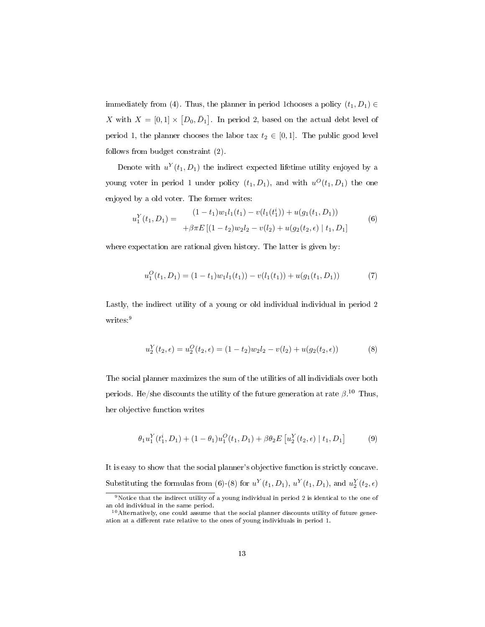immediately from (4). Thus, the planner in period 1chooses a policy  $(t_1, D_1) \in$ X with  $X = [0,1] \times [D_0, \bar{D}_1]$ . In period 2, based on the actual debt level of period 1, the planner chooses the labor tax  $t_2 \in [0,1]$ . The public good level follows from budget constraint (2).

Denote with  $u^{Y}(t_1, D_1)$  the indirect expected lifetime utility enjoyed by a young voter in period 1 under policy  $(t_1, D_1)$ , and with  $u^O(t_1, D_1)$  the one enjoyed by a old voter. The former writes:

$$
u_1^Y(t_1, D_1) = \begin{cases} (1 - t_1)w_1l_1(t_1) - v(l_1(t_1^i)) + u(g_1(t_1, D_1)) \\ + \beta \pi E\left[ (1 - t_2)w_2l_2 - v(l_2) + u(g_2(t_2, \epsilon) \mid t_1, D_1 \right] \end{cases} \tag{6}
$$

where expectation are rational given history. The latter is given by:

$$
u_1^O(t_1, D_1) = (1 - t_1)w_1l_1(t_1) - v(l_1(t_1)) + u(g_1(t_1, D_1))
$$
\n<sup>(7)</sup>

Lastly, the indirect utility of a young or old individual individual in period 2 writes:<sup>9</sup>

$$
u_2^Y(t_2, \epsilon) = u_2^O(t_2, \epsilon) = (1 - t_2)w_2l_2 - v(l_2) + u(g_2(t_2, \epsilon))
$$
\n(8)

The social planner maximizes the sum of the utilities of all individials over both periods. He/she discounts the utility of the future generation at rate  $\beta$ .<sup>10</sup> Thus, her objective function writes

$$
\theta_1 u_1^Y(t_1^i, D_1) + (1 - \theta_1) u_1^O(t_1, D_1) + \beta \theta_2 E \left[ u_2^Y(t_2, \epsilon) \mid t_1, D_1 \right] \tag{9}
$$

It is easy to show that the social planner's objective function is strictly concave. Substituting the formulas from (6)-(8) for  $u^Y(t_1, D_1)$ ,  $u^Y(t_1, D_1)$ , and  $u^Y_2(t_2, \epsilon)$ 

 $9$ Notice that the indirect utility of a young individual in period 2 is identical to the one of an old individual in the same period.

<sup>10</sup>Alternatively, one could assume that the social planner discounts utility of future generation at a different rate relative to the ones of young individuals in period 1.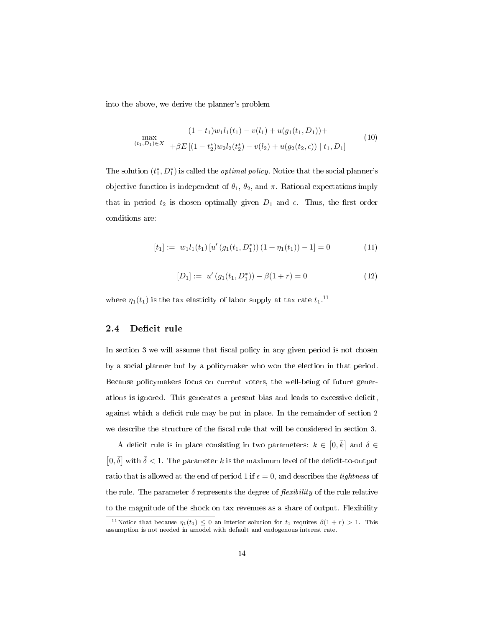into the above, we derive the planner's problem

$$
(1-t_1)w_1l_1(t_1) - v(l_1) + u(g_1(t_1, D_1)) +
$$
  
\n
$$
\max_{(t_1, D_1) \in X} + \beta E \left[ (1-t_2^*)w_2l_2(t_2^*) - v(l_2) + u(g_2(t_2, \epsilon)) \mid t_1, D_1 \right]
$$
\n
$$
(10)
$$

The solution  $(t_1^*, D_1^*)$  is called the *optimal policy*. Notice that the social planner's objective function is independent of  $\theta_1$ ,  $\theta_2$ , and  $\pi$ . Rational expectations imply that in period  $t_2$  is chosen optimally given  $D_1$  and  $\epsilon$ . Thus, the first order conditions are:

$$
[t_1] := w_1 l_1(t_1) [u' (g_1(t_1, D_1^*)) (1 + \eta_1(t_1)) - 1] = 0
$$
\n(11)

$$
[D_1] := u' (g_1(t_1, D_1^*)) - \beta (1+r) = 0
$$
\n(12)

where  $\eta_1(t_1)$  is the tax elasticity of labor supply at tax rate  $t_1$ .<sup>11</sup>

## 2.4 Deficit rule

In section 3 we will assume that fiscal policy in any given period is not chosen by a social planner but by a policymaker who won the election in that period. Because policymakers focus on current voters, the well-being of future generations is ignored. This generates a present bias and leads to excessive deficit, against which a deficit rule may be put in place. In the remainder of section 2 we describe the structure of the fiscal rule that will be considered in section 3.

A deficit rule is in place consisting in two parameters:  $k \in [0, \bar{k}]$  and  $\delta \in$  $[0,\bar{\delta}]$  with  $\bar{\delta}$  < 1. The parameter k is the maximum level of the deficit-to-output ratio that is allowed at the end of period 1 if  $\epsilon = 0$ , and describes the *tightness* of the rule. The parameter  $\delta$  represents the degree of *flexibility* of the rule relative to the magnitude of the shock on tax revenues as a share of output. Flexibility

<sup>&</sup>lt;sup>11</sup>Notice that because  $\eta_1(t_1) \leq 0$  an interior solution for  $t_1$  requires  $\beta(1+r) > 1$ . This assumption is not needed in amodel with default and endogenous interest rate.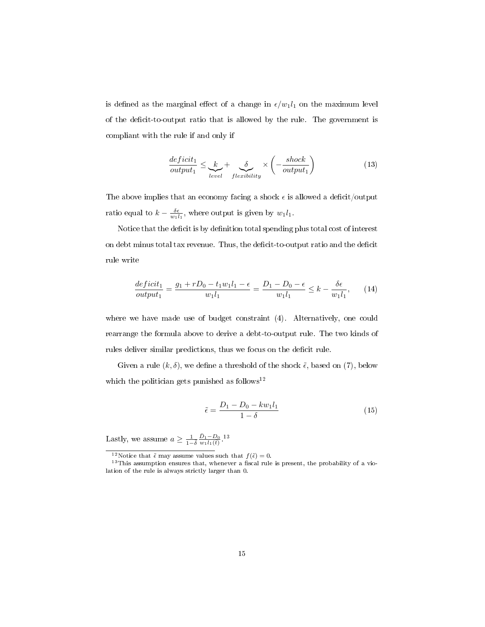is defined as the marginal effect of a change in  $\epsilon/w_1l_1$  on the maximum level of the deficit-to-output ratio that is allowed by the rule. The government is compliant with the rule if and only if

$$
\frac{deficit_1}{output_1} \leq \underbrace{k}_{level} + \underbrace{\delta}_{flexibility} \times \left( -\frac{shock}{output_1} \right) \tag{13}
$$

The above implies that an economy facing a shock  $\epsilon$  is allowed a deficit/output ratio equal to  $k - \frac{\delta \epsilon}{w_1 l_1}$ , where output is given by  $w_1 l_1$ .

Notice that the deficit is by definition total spending plus total cost of interest on debt minus total tax revenue. Thus, the deficit-to-output ratio and the deficit rule write

$$
\frac{deficit_1}{output_1} = \frac{g_1 + rD_0 - t_1w_1l_1 - \epsilon}{w_1l_1} = \frac{D_1 - D_0 - \epsilon}{w_1l_1} \le k - \frac{\delta\epsilon}{w_1l_1},\qquad(14)
$$

where we have made use of budget constraint (4). Alternatively, one could rearrange the formula above to derive a debt-to-output rule. The two kinds of rules deliver similar predictions, thus we focus on the deficit rule.

Given a rule  $(k, \delta)$ , we define a threshold of the shock  $\tilde{\epsilon}$ , based on (7), below which the politician gets punished as follows<sup>12</sup>

$$
\tilde{\epsilon} = \frac{D_1 - D_0 - k w_1 l_1}{1 - \delta} \tag{15}
$$

Lastly, we assume  $a \ge \frac{1}{1-\delta} \frac{\bar{D}_1 - D_0}{w_1 l_1(t)}$ .<sup>13</sup>

<sup>&</sup>lt;sup>12</sup>Notice that  $\tilde{\epsilon}$  may assume values such that  $f(\tilde{\epsilon}) = 0$ .

 $13$ This assumption ensures that, whenever a fiscal rule is present, the probability of a violation of the rule is always strictly larger than 0.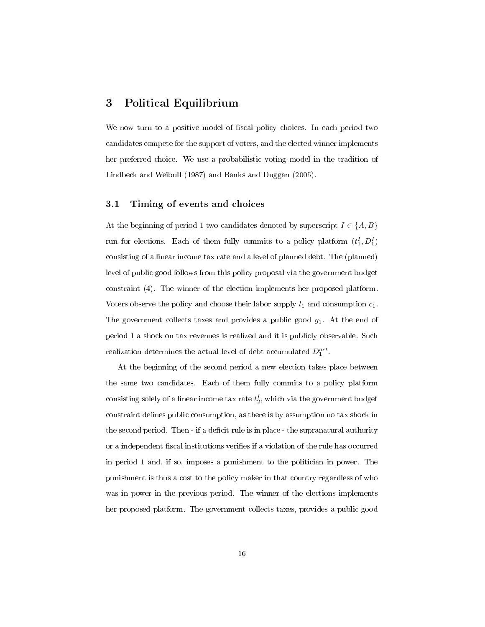# 3 Political Equilibrium

We now turn to a positive model of fiscal policy choices. In each period two candidates compete for the support of voters, and the elected winner implements her preferred choice. We use a probabilistic voting model in the tradition of Lindbeck and Weibull (1987) and Banks and Duggan (2005).

### 3.1 Timing of events and choices

At the beginning of period 1 two candidates denoted by superscript  $I \in \{A, B\}$ run for elections. Each of them fully commits to a policy platform  $(t_1^I, D_1^I)$ consisting of a linear income tax rate and a level of planned debt. The (planned) level of public good follows from this policy proposal via the government budget constraint (4). The winner of the election implements her proposed platform. Voters observe the policy and choose their labor supply  $l_1$  and consumption  $c_1$ . The government collects taxes and provides a public good  $g_1$ . At the end of period 1 a shock on tax revenues is realized and it is publicly observable. Such realization determines the actual level of debt accumulated  $D_1^{act}$ .

At the beginning of the second period a new election takes place between the same two candidates. Each of them fully commits to a policy platform consisting solely of a linear income  $\text{tax rate}\,t_{2}^{I},$  which via the government budget constraint defines public consumption, as there is by assumption no tax shock in the second period. Then - if a deficit rule is in place - the supranatural authority or a independent fiscal institutions verifies if a violation of the rule has occurred in period 1 and, if so, imposes a punishment to the politician in power. The punishment is thus a cost to the policy maker in that country regardless of who was in power in the previous period. The winner of the elections implements her proposed platform. The government collects taxes, provides a public good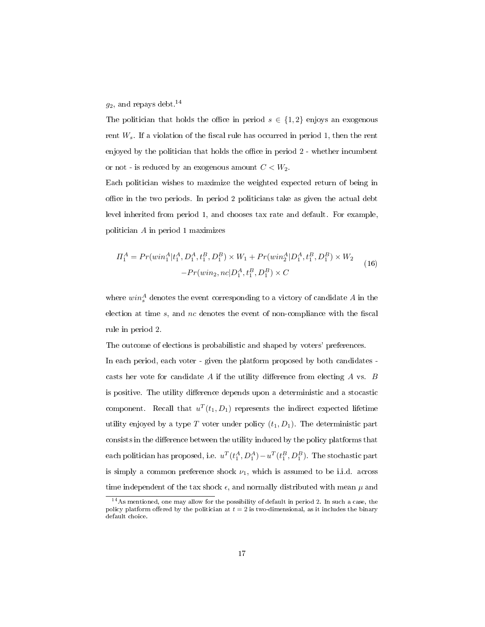### $g_2$ , and repays debt.<sup>14</sup>

The politician that holds the office in period  $s \in \{1,2\}$  enjoys an exogenous rent  $W_s$ . If a violation of the fiscal rule has occurred in period 1, then the rent enjoyed by the politician that holds the office in period  $2$  - whether incumbent or not - is reduced by an exogenous amount  $C < W_2.$ 

Each politician wishes to maximize the weighted expected return of being in office in the two periods. In period 2 politicians take as given the actual debt level inherited from period 1, and chooses tax rate and default. For example, politician A in period 1 maximizes

$$
\Pi_1^A = Pr(\text{win}_1^A | t_1^A, D_1^A, t_1^B, D_1^B) \times W_1 + Pr(\text{win}_2^A | D_1^A, t_1^B, D_1^B) \times W_2
$$
  
-
$$
Pr(\text{win}_2, nc | D_1^A, t_1^B, D_1^B) \times C
$$
 (16)

where  $win_s^A$  denotes the event corresponding to a victory of candidate A in the election at time  $s$ , and  $nc$  denotes the event of non-compliance with the fiscal rule in period 2.

The outcome of elections is probabilistic and shaped by voters' preferences.

In each period, each voter - given the platform proposed by both candidates casts her vote for candidate  $A$  if the utility difference from electing  $A$  vs.  $B$ is positive. The utility difference depends upon a deterministic and a stocastic component. Recall that  $u^T(t_1, D_1)$  represents the indirect expected lifetime utility enjoyed by a type T voter under policy  $(t_1, D_1)$ . The deterministic part consists in the difference between the utility induced by the policy platforms that each politician has proposed, i.e.  $u^T(t_1^A, D_1^A) - u^T(t_1^B, D_1^B)$ . The stochastic part is simply a common preference shock  $\nu_1$ , which is assumed to be i.i.d. across time independent of the tax shock  $\epsilon$ , and normally distributed with mean  $\mu$  and

 $14$ As mentioned, one may allow for the possibility of default in period 2. In such a case, the policy platform offered by the politician at  $t = 2$  is two-dimensional, as it includes the binary default choice.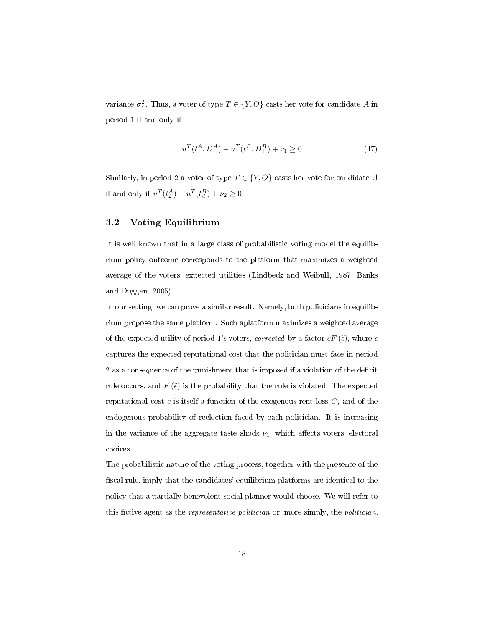variance  $\sigma_{\nu}^2$ . Thus, a voter of type  $T \in \{Y, O\}$  casts her vote for candidate A in period 1 if and only if

$$
u^{T}(t_1^{A}, D_1^{A}) - u^{T}(t_1^{B}, D_1^{B}) + \nu_1 \ge 0
$$
\n(17)

Similarly, in period 2 a voter of type  $T \in \{Y, O\}$  casts her vote for candidate A if and only if  $u^T(t_2^A) - u^T(t_d^B) + \nu_2 \ge 0$ .

## 3.2 Voting Equilibrium

It is well known that in a large class of probabilistic voting model the equilibrium policy outcome corresponds to the platform that maximizes a weighted average of the voters' expected utilities (Lindbeck and Weibull, 1987; Banks and Duggan, 2005).

In our setting, we can prove a similar result. Namely, both politicians in equilibrium propose the same platform. Such aplatform maximizes a weighted average of the expected utility of period 1's voters, corrected by a factor  $cF(\tilde{\epsilon})$ , where c captures the expected reputational cost that the politician must face in period 2 as a consequence of the punishment that is imposed if a violation of the deficit rule occurs, and  $F(\tilde{\epsilon})$  is the probability that the rule is violated. The expected reputational cost c is itself a function of the exogenous rent loss  $C$ , and of the endogenous probability of reelection faced by each politician. It is increasing in the variance of the aggregate taste shock  $\nu_1$ , which affects voters' electoral choices.

The probabilistic nature of the voting process, together with the presence of the scal rule, imply that the candidates' equilibrium platforms are identical to the policy that a partially benevolent social planner would choose. We will refer to this fictive agent as the *representative politician* or, more simply, the *politician*.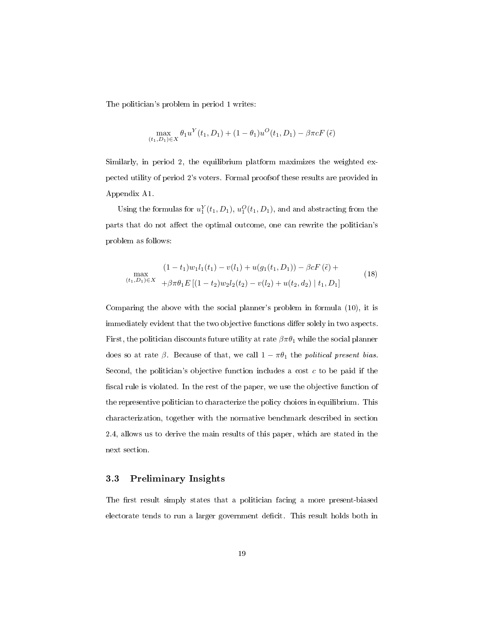The politician's problem in period 1 writes:

$$
\max_{(t_1, D_1)\in X} \theta_1 u^Y(t_1, D_1) + (1 - \theta_1)u^O(t_1, D_1) - \beta \pi c F(\tilde{\epsilon})
$$

Similarly, in period 2, the equilibrium platform maximizes the weighted expected utility of period 2's voters. Formal proofsof these results are provided in Appendix A1.

Using the formulas for  $u_1^Y(t_1, D_1)$ ,  $u_1^O(t_1, D_1)$ , and and abstracting from the parts that do not affect the optimal outcome, one can rewrite the politician's problem as follows:

$$
(1 - t_1)w_1l_1(t_1) - v(l_1) + u(g_1(t_1, D_1)) - \beta c F(\tilde{\epsilon}) +
$$
  
\n
$$
(t_1, D_1) \in X + \beta \pi \theta_1 E [(1 - t_2)w_2l_2(t_2) - v(l_2) + u(t_2, d_2) | t_1, D_1]
$$
\n(18)

Comparing the above with the social planner's problem in formula (10), it is immediately evident that the two objective functions differ solely in two aspects. First, the politician discounts future utility at rate  $\beta \pi \theta_1$  while the social planner does so at rate  $\beta$ . Because of that, we call  $1 - \pi \theta_1$  the political present bias. Second, the politician's objective function includes a cost  $c$  to be paid if the fiscal rule is violated. In the rest of the paper, we use the objective function of the representive politician to characterize the policy choices in equilibrium. This characterization, together with the normative benchmark described in section 2.4, allows us to derive the main results of this paper, which are stated in the next section.

### 3.3 Preliminary Insights

The first result simply states that a politician facing a more present-biased electorate tends to run a larger government decit. This result holds both in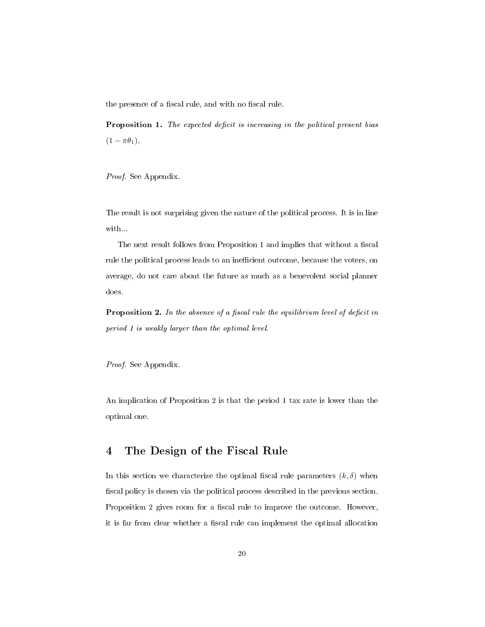the presence of a fiscal rule, and with no fiscal rule.

Proposition 1. The expected deficit is increasing in the political present bias  $(1 - \pi \theta_1).$ 

Proof. See Appendix.

The result is not surprising given the nature of the political process. It is in line with...

The next result follows from Proposition 1 and implies that without a fiscal rule the political process leads to an inefficient outcome, because the voters, on average, do not care about the future as much as a benevolent social planner does.

**Proposition 2.** In the absence of a fiscal rule the equilibrium level of deficit in period 1 is weakly larger than the optimal level.

Proof. See Appendix.

An implication of Proposition 2 is that the period 1 tax rate is lower than the optimal one.

# 4 The Design of the Fiscal Rule

In this section we characterize the optimal fiscal rule parameters  $(k, \delta)$  when fiscal policy is chosen via the political process described in the previous section. Proposition 2 gives room for a fiscal rule to improve the outcome. However, it is far from clear whether a fiscal rule can implement the optimal allocation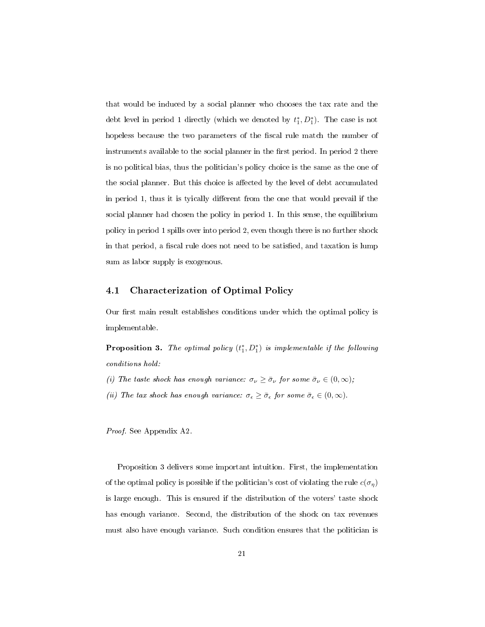that would be induced by a social planner who chooses the tax rate and the debt level in period 1 directly (which we denoted by  $t_1^*, D_1^*$ ). The case is not hopeless because the two parameters of the fiscal rule match the number of instruments available to the social planner in the first period. In period 2 there is no political bias, thus the politician's policy choice is the same as the one of the social planner. But this choice is affected by the level of debt accumulated in period 1, thus it is tyically different from the one that would prevail if the social planner had chosen the policy in period 1. In this sense, the equilibrium policy in period 1 spills over into period 2, even though there is no further shock in that period, a fiscal rule does not need to be satisfied, and taxation is lump sum as labor supply is exogenous.

## 4.1 Characterization of Optimal Policy

Our first main result establishes conditions under which the optimal policy is implementable.

**Proposition 3.** The optimal policy  $(t_1^*, D_1^*)$  is implementable if the following conditions hold:

- (i) The taste shock has enough variance:  $\sigma_{\nu} \geq \bar{\sigma}_{\nu}$  for some  $\bar{\sigma}_{\nu} \in (0, \infty)$ ;
- (ii) The tax shock has enough variance:  $\sigma_{\epsilon} \geq \bar{\sigma}_{\epsilon}$  for some  $\bar{\sigma}_{\epsilon} \in (0,\infty)$ .

Proof. See Appendix A2.

Proposition 3 delivers some important intuition. First, the implementation of the optimal policy is possible if the politician's cost of violating the rule  $c(\sigma_{\eta})$ is large enough. This is ensured if the distribution of the voters' taste shock has enough variance. Second, the distribution of the shock on tax revenues must also have enough variance. Such condition ensures that the politician is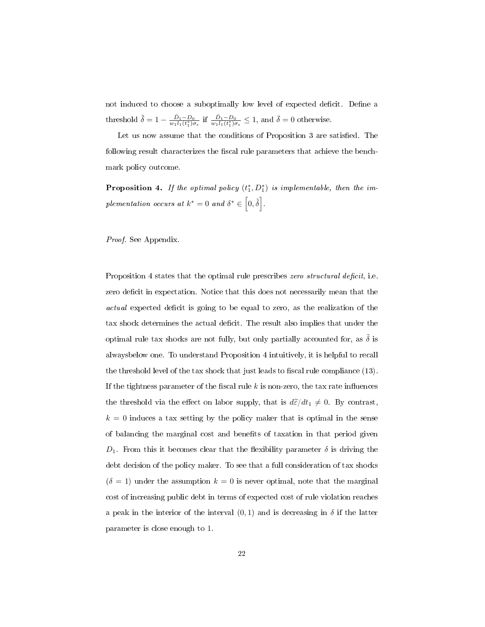not induced to choose a suboptimally low level of expected deficit. Define a threshold  $\tilde{\delta} = 1 - \frac{\bar{D}_1 - D_0}{w_1 l_1(t_1^*) \sigma_{\epsilon}}$  if  $\frac{\bar{D}_1 - D_0}{w_1 l_1(t_1^*) \sigma_{\epsilon}} \leq 1$ , and  $\bar{\delta} = 0$  otherwise.

Let us now assume that the conditions of Proposition 3 are satisfied. The following result characterizes the fiscal rule parameters that achieve the benchmark policy outcome.

**Proposition 4.** If the optimal policy  $(t_1^*, D_1^*)$  is implementable, then the implementation occurs at  $k^* = 0$  and  $\delta^* \in \left[0, \tilde{\delta}\right]$ .

#### Proof. See Appendix.

Proposition 4 states that the optimal rule prescribes zero structural deficit, i.e. zero deficit in expectation. Notice that this does not necessarily mean that the actual expected deficit is going to be equal to zero, as the realization of the tax shock determines the actual deficit. The result also implies that under the optimal rule tax shocks are not fully, but only partially accounted for, as  $\tilde{\delta}$  is alwaysbelow one. To understand Proposition 4 intuitively, it is helpful to recall the threshold level of the tax shock that just leads to fiscal rule compliance  $(13)$ . If the tightness parameter of the fiscal rule  $k$  is non-zero, the tax rate influences the threshold via the effect on labor supply, that is  $d\tilde{\varepsilon}/dt_1 \neq 0$ . By contrast,  $k = 0$  induces a tax setting by the policy maker that is optimal in the sense of balancing the marginal cost and benets of taxation in that period given  $D_1$ . From this it becomes clear that the flexibility parameter  $\delta$  is driving the debt decision of the policy maker. To see that a full consideration of tax shocks  $(\delta = 1)$  under the assumption  $k = 0$  is never optimal, note that the marginal cost of increasing public debt in terms of expected cost of rule violation reaches a peak in the interior of the interval  $(0,1)$  and is decreasing in  $\delta$  if the latter parameter is close enough to 1.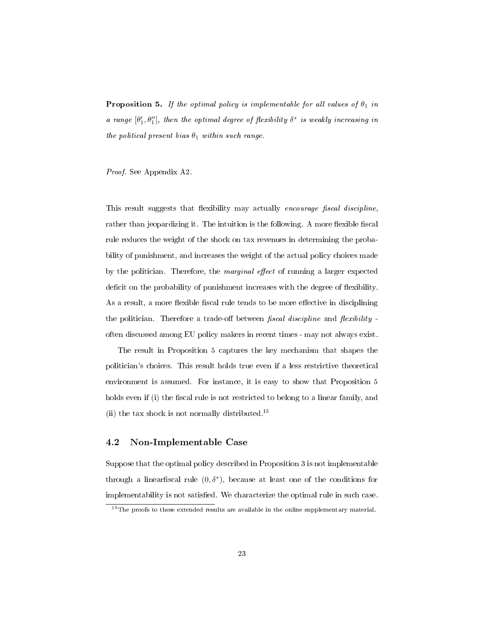**Proposition 5.** If the optimal policy is implementable for all values of  $\theta_1$  in a range  $[\theta'_1, \theta''_1]$ , then the optimal degree of flexibility  $\delta^*$  is weakly increasing in the political present bias  $\theta_1$  within such range.

Proof. See Appendix A2.

This result suggests that flexibility may actually encourage fiscal discipline, rather than jeopardizing it. The intuition is the following. A more flexible fiscal rule reduces the weight of the shock on tax revenues in determining the probability of punishment, and increases the weight of the actual policy choices made by the politician. Therefore, the *marginal effect* of running a larger expected deficit on the probability of punishment increases with the degree of flexibility. As a result, a more flexible fiscal rule tends to be more effective in disciplining the politician. Therefore a trade-off between fiscal discipline and flexibility often discussed among EU policy makers in recent times - may not always exist.

The result in Proposition 5 captures the key mechanism that shapes the politician's choices. This result holds true even if a less restrictive theoretical environment is assumed. For instance, it is easy to show that Proposition 5 holds even if (i) the fiscal rule is not restricted to belong to a linear family, and (ii) the tax shock is not normally distributed.<sup>15</sup>

## 4.2 Non-Implementable Case

Suppose that the optimal policy described in Proposition 3 is not implementable through a linear fiscal rule  $(0, \delta^*)$ , because at least one of the conditions for implementability is not satisfied. We characterize the optimal rule in such case.

<sup>&</sup>lt;sup>15</sup>The proofs to these extended results are available in the online supplementary material.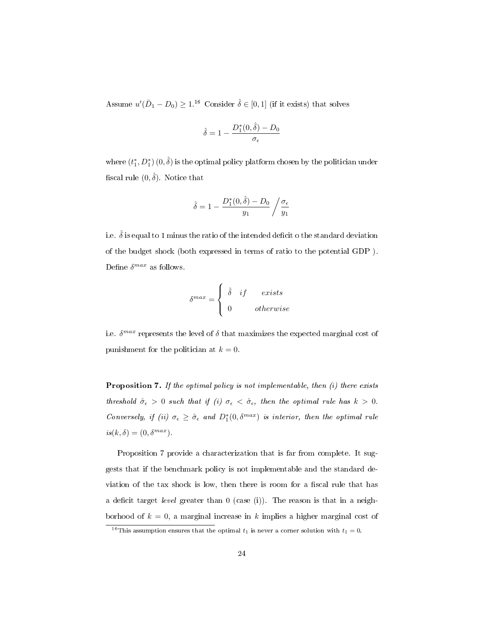Assume  $u'(\bar{D}_1 - D_0) \geq 1.16$  Consider  $\hat{\delta} \in [0, 1]$  (if it exists) that solves

$$
\hat{\delta} = 1 - \frac{D_1^*(0, \hat{\delta}) - D_0}{\sigma_{\epsilon}}
$$

where  $(t_1^*, D_1^*)$   $(0, \hat{\delta})$  is the optimal policy platform chosen by the politician under fiscal rule  $(0, \hat{\delta})$ . Notice that

$$
\hat{\delta}=1-\frac{D_1^*(0,\hat{\delta})-D_0}{y_1}\left/\frac{\sigma_\epsilon}{y_1}\right.
$$

i.e.  $\hat{\delta}$  is equal to 1 minus the ratio of the intended deficit o the standard deviation of the budget shock (both expressed in terms of ratio to the potential GDP ). Define  $\delta^{max}$  as follows.

$$
\delta^{max} = \begin{cases} \n\hat{\delta} & if \quad exists \\ \n0 & otherwise \n\end{cases}
$$

i.e.  $\delta^{max}$  represents the level of  $\delta$  that maximizes the expected marginal cost of punishment for the politician at  $k = 0$ .

Proposition 7. If the optimal policy is not implementable, then (i) there exists threshold  $\mathring{\sigma}_{\epsilon} > 0$  such that if (i)  $\sigma_{\epsilon} < \mathring{\sigma}_{\epsilon}$ , then the optimal rule has  $k > 0$ . Conversely, if (ii)  $\sigma_{\epsilon} \geq \mathring{\sigma}_{\epsilon}$  and  $D_1^*(0, \delta^{max})$  is interior, then the optimal rule  $is(k, \delta) = (0, \delta^{max}).$ 

Proposition 7 provide a characterization that is far from complete. It suggests that if the benchmark policy is not implementable and the standard deviation of the tax shock is low, then there is room for a fiscal rule that has a deficit target *level* greater than  $0$  (case (i)). The reason is that in a neighborhood of  $k = 0$ , a marginal increase in k implies a higher marginal cost of

<sup>&</sup>lt;sup>16</sup>This assumption ensures that the optimal  $t_1$  is never a corner solution with  $t_1 = 0$ .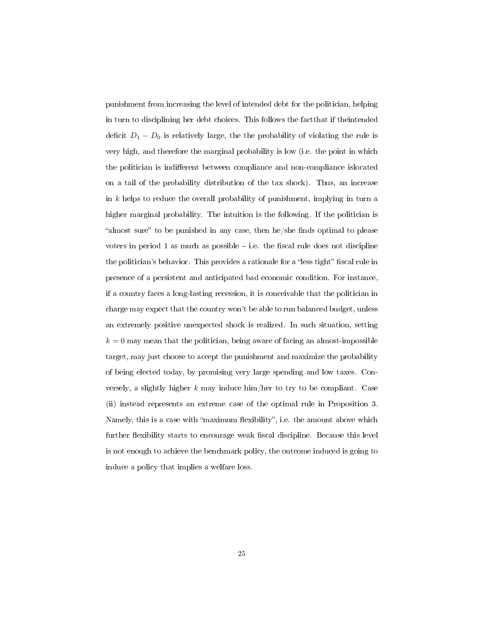punishment from increasing the level of intended debt for the politician, helping in turn to disciplining her debt choices. This follows the factthat if theintended deficit  $D_1 - D_0$  is relatively large, the the probability of violating the rule is very high, and therefore the marginal probability is low (i.e. the point in which the politician is indifferent between compliance and non-compliance islocated on a tail of the probability distribution of the tax shock). Thus, an increase in  $k$  helps to reduce the overall probability of punishment, implying in turn a higher marginal probability. The intuition is the following. If the politician is "almost sure" to be punished in any case, then he/she finds optimal to please voters in period 1 as much as possible  $-$  i.e. the fiscal rule does not discipline the politician's behavior. This provides a rationale for a "less tight" fiscal rule in presence of a persistent and anticipated bad economic condition. For instance, if a country faces a long-lasting recession, it is conceivable that the politician in charge may expect that the country won't be able to run balanced budget, unless an extremely positive unexpected shock is realized. In such situation, setting  $k = 0$  may mean that the politician, being aware of facing an almost-impossible target, may just choose to accept the punishment and maximize the probability of being elected today, by promising very large spending and low taxes. Conversely, a slightly higher  $k$  may induce him/her to try to be compliant. Case (ii) instead represents an extreme case of the optimal rule in Proposition 3. Namely, this is a case with "maximum flexibility", i.e. the amount above which further flexibility starts to encourage weak fiscal discipline. Because this level is not enough to achieve the benchmark policy, the outcome induced is going to induce a policy that implies a welfare loss.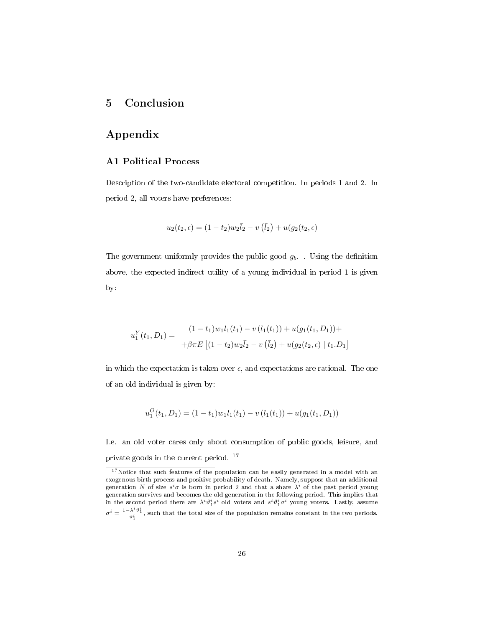# 5 Conclusion

# Appendix

## A1 Political Process

Description of the two-candidate electoral competition. In periods 1 and 2. In period 2, all voters have preferences:

$$
u_2(t_2, \epsilon) = (1 - t_2)w_2\bar{l}_2 - v(\bar{l}_2) + u(g_2(t_2, \epsilon))
$$

The government uniformly provides the public good  $g_b$ . Using the definition above, the expected indirect utility of a young individual in period 1 is given by:

$$
u_1^Y(t_1, D_1) = \begin{aligned} (1 - t_1)w_1l_1(t_1) - v(l_1(t_1)) + u(g_1(t_1, D_1)) + \\ + \beta \pi E\left[ (1 - t_2)w_2\overline{l}_2 - v(\overline{l}_2) + u(g_2(t_2, \epsilon) \mid t_1.D_1 \right] \end{aligned}
$$

in which the expectation is taken over  $\epsilon$ , and expectations are rational. The one of an old individual is given by:

$$
u_1^O(t_1, D_1) = (1 - t_1)w_1l_1(t_1) - v(l_1(t_1)) + u(g_1(t_1, D_1))
$$

I.e. an old voter cares only about consumption of public goods, leisure, and private goods in the current period. <sup>17</sup>

 $17$ Notice that such features of the population can be easily generated in a model with an exogenous birth process and positive probability of death. Namely, suppose that an additional generation N of size  $s^i\sigma$  is born in period 2 and that a share  $\lambda^i$  of the past period young generation survives and becomes the old generation in the following period. This implies that in the second period there are  $\lambda^i \vartheta_1^i s^i$  old voters and  $s^i \vartheta_1^i \sigma^i$  young voters. Lastly, assume  $\sigma^i=\frac{1-\lambda^i\vartheta_1^i}{\vartheta_1^i},$  such that the total size of the population remains constant in the two periods.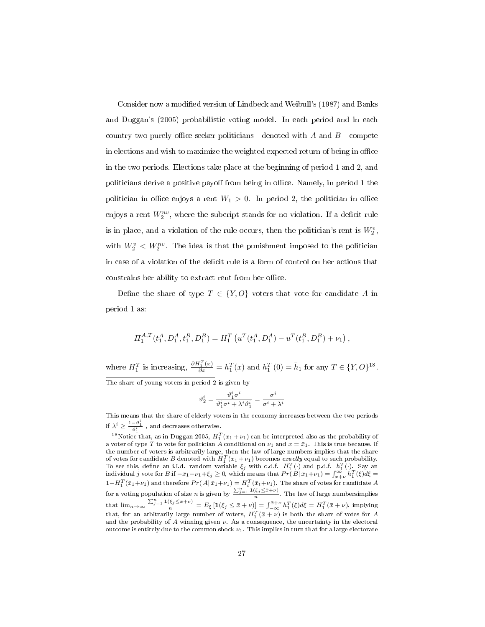Consider now a modified version of Lindbeck and Weibull's (1987) and Banks and Duggan's (2005) probabilistic voting model. In each period and in each country two purely office-seeker politicians - denoted with  $A$  and  $B$  - compete in elections and wish to maximize the weighted expected return of being in office in the two periods. Elections take place at the beginning of period 1 and 2, and politicians derive a positive payoff from being in office. Namely, in period 1 the politician in office enjoys a rent  $W_1 > 0$ . In period 2, the politician in office enjoys a rent  $W_2^{nv}$ , where the subcript stands for no violation. If a deficit rule is in place, and a violation of the rule occurs, then the politician's rent is  $W_2^v$ , with  $W_2^v < W_2^{nv}$ . The idea is that the punishment imposed to the politician in case of a violation of the deficit rule is a form of control on her actions that constrains her ability to extract rent from her office.

Define the share of type  $T \in \{Y, O\}$  voters that vote for candidate A in period 1 as:

$$
\Pi_1^{A,T}(t_1^A, D_1^A, t_1^B, D_1^B) = H_1^T(u^T(t_1^A, D_1^A) - u^T(t_1^B, D_1^B) + \nu_1),
$$

where  $H_1^T$  is increasing,  $\frac{\partial H_1^T(x)}{\partial x} = h_1^T(x)$  and  $h_1^T(0) = \bar{h}_1$  for any  $T \in \{Y, O\}^{18}$ . The share of young voters in period 2 is given by

$$
\vartheta_2^i = \frac{\vartheta_1^i \sigma^i}{\vartheta_1^i \sigma^i + \lambda^i \vartheta_1^i} = \frac{\sigma^i}{\sigma^i + \lambda^i}
$$

This means that the share of elderly voters in the economy increases between the two periods if  $\lambda^i \geq \frac{1-\vartheta_1^i}{\vartheta_1^i}$ , and decreases otherwise.

<sup>&</sup>lt;sup>18</sup>Notice that, as in Duggan 2005,  $H_1^T(\bar{x}_1 + \nu_1)$  can be interpreted also as the probability of a voter of type T to vote for politician A conditional on  $\nu_1$  and  $x = \bar{x}_1$ . This is true because, if the number of voters is arbitrarily large, then the law of large numbers implies that the share of votes for candidate B denoted with  $H_1^T(\bar{x}_1+\nu_1)$  becomes exactly equal to such probability. To see this, define an i.i.d. random variable  $\xi_j$  with c.d.f.  $H_1^T(\cdot)$  and p.d.f.  $h_1^T(\cdot)$ . Say an individual j vote for B if  $-\bar{x}_1-\nu_1+\xi_j\geq 0$ , which means that  $Pr(B|\bar{x}_1+\nu_1)=\int_{x+\nu}^{\infty}h_1^T(\xi)d\xi=$  $1-H_1^T(\bar{x}_1+\nu_1)$  and therefore  $Pr(A|\bar{x}_1+\nu_1)=H_t^T(\bar{x}_t+\nu_1)$ . The share of votes for candidate  $A$ for a voting population of size *n* is given by  $\frac{\sum_{j=1}^{n} \mathbf{1}(\xi_j \leq \bar{x}+\nu)}{n}$ . The law of large numbersimplies that  $\lim_{n\to\infty} \frac{\sum_{j=1}^{n} \mathbb{1}(\xi_j \leq \bar{x}+\nu)}{n} = E_{\xi} [\mathbb{1}(\xi_j \leq \bar{x}+\nu)] = \int_{-\infty}^{\bar{x}+\nu} h_1^T(\xi) d\xi = H_1^T(\bar{x}+\nu)$ , implying that, for an arbitrarily large number of voters,  $H_1^T(\bar{x} + \nu)$  is both the share of votes for  $A$ and the probability of  $A$  winning given  $\nu$ . As a consequence, the uncertainty in the electoral outcome is entirely due to the common shock  $\nu_1$ . This implies in turn that for a large electorate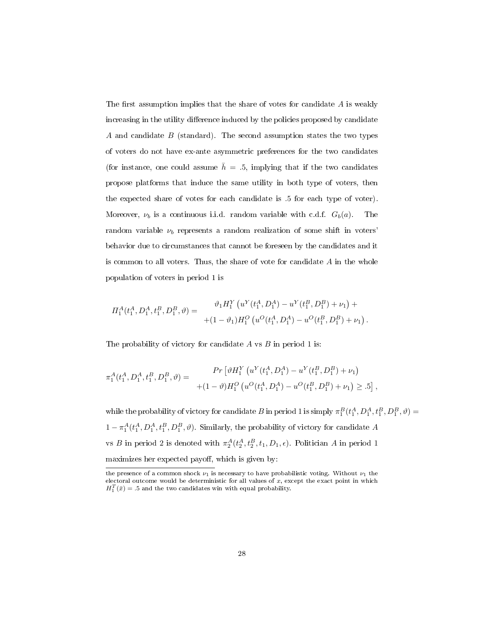The first assumption implies that the share of votes for candidate  $A$  is weakly increasing in the utility difference induced by the policies proposed by candidate A and candidate  $B$  (standard). The second assumption states the two types of voters do not have ex-ante asymmetric preferences for the two candidates (for instance, one could assume  $\bar{h} = .5$ , implying that if the two candidates propose platforms that induce the same utility in both type of voters, then the expected share of votes for each candidate is .5 for each type of voter). Moreover,  $\nu_b$  is a continuous i.i.d. random variable with c.d.f.  $G_b(a)$ . The random variable  $\nu_b$  represents a random realization of some shift in voters' behavior due to circumstances that cannot be foreseen by the candidates and it is common to all voters. Thus, the share of vote for candidate A in the whole population of voters in period 1 is

$$
\Pi_1^A(t_1^A, D_1^A, t_1^B, D_1^B, \vartheta) = \frac{\vartheta_1 H_1^Y \left( u^Y(t_1^A, D_1^A) - u^Y(t_1^B, D_1^B) + \nu_1 \right) +}{(1 - \vartheta_1) H_1^O \left( u^O(t_1^A, D_1^A) - u^O(t_1^B, D_1^B) + \nu_1 \right)}.
$$

The probability of victory for candidate  $A$  vs  $B$  in period 1 is:

$$
\pi_1^A(t_1^A, D_1^A, t_1^B, D_1^B, \vartheta) = \frac{Pr\left[\vartheta H_1^Y\left(u^Y(t_1^A, D_1^A) - u^Y(t_1^B, D_1^B) + \nu_1\right) \right]}{(1-\vartheta)H_1^O\left(u^O(t_1^A, D_1^A) - u^O(t_1^B, D_1^B) + \nu_1\right) \geq .5\right],}
$$

while the probability of victory for candidate B in period 1 is simply  $\pi_1^B(t_1^A, D_1^A, t_1^B, D_1^B, \vartheta) =$  $1 - \pi_1^A(t_1^A, D_1^A, t_1^B, D_1^B, \vartheta)$ . Similarly, the probability of victory for candidate A vs B in period 2 is denoted with  $\pi_2^A(t_2^A, t_2^B, t_1, D_1, \epsilon)$ . Politician A in period 1  $maximizes$ her expected payoff, which is given by:  $\,$ 

the presence of a common shock  $\nu_1$  is necessary to have probabilistic voting. Without  $\nu_1$  the electoral outcome would be deterministic for all values of  $x$ , except the exact point in which  $H_1^T(\bar{x}) = .5$  and the two candidates win with equal probability.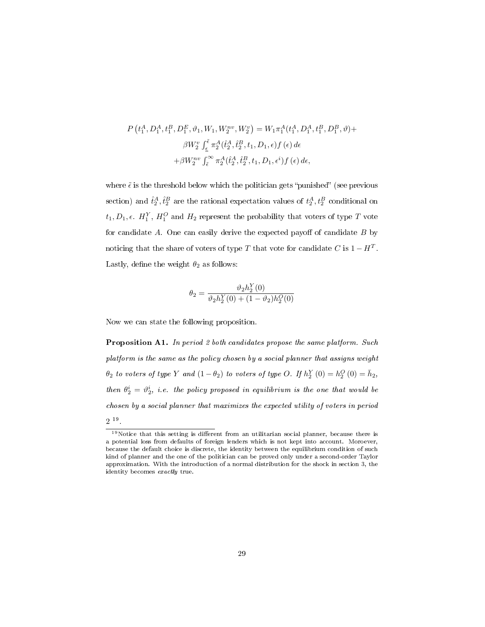$$
P(t_1^A, D_1^A, t_1^B, D_1^E, \vartheta_1, W_1, W_2^{nv}, W_2^v) = W_1 \pi_1^A(t_1^A, D_1^A, t_1^B, D_1^B, \vartheta) +
$$
  

$$
\beta W_2^v \int_{\epsilon}^{\tilde{\epsilon}} \pi_2^A(\hat{t}_2^A, \hat{t}_2^B, t_1, D_1, \epsilon) f(\epsilon) d\epsilon
$$
  

$$
+ \beta W_2^{nv} \int_{\tilde{\epsilon}}^{\infty} \pi_2^A(\hat{t}_2^A, \hat{t}_2^B, t_1, D_1, \epsilon^i) f(\epsilon) d\epsilon,
$$

where  $\tilde{\epsilon}$  is the threshold below which the politician gets "punished" (see previous section) and  $\hat{t}_2^A, \hat{t}_2^B$  are the rational expectation values of  $t_2^A, t_2^B$  conditional on  $t_1, D_1, \epsilon$ .  $H_1^Y, H_1^O$  and  $H_2$  represent the probability that voters of type  $T$  vote for candidate  $A$ . One can easily derive the expected payoff of candidate  $B$  by noticing that the share of voters of type T that vote for candidate C is  $1 - H^T$ . Lastly, define the weight  $\theta_2$  as follows:

$$
\theta_2=\frac{\vartheta_2h_2^Y(0)}{\vartheta_2h_2^Y(0)+(1-\vartheta_2)h_2^O(0)}
$$

Now we can state the following proposition.

Proposition A1. In period 2 both candidates propose the same platform. Such platform is the same as the policy chosen by a social planner that assigns weight  $\theta_2$  to voters of type Y and  $(1 - \theta_2)$  to voters of type O. If  $h_2^Y(0) = h_2^O(0) = \bar{h}_2$ , then  $\theta_2^i = \vartheta_2^i$ , i.e. the policy proposed in equilibrium is the one that would be chosen by a social planner that maximizes the expected utility of voters in period

<sup>2</sup> 19 .

 $\sqrt{19_{\text{Notice that this setting is different from an utilitarian social planner, because there is}}$ a potential loss from defaults of foreign lenders which is not kept into account. Moroever, because the default choice is discrete, the identity between the equilibrium condition of such kind of planner and the one of the politician can be proved only under a second-order Taylor approximation. With the introduction of a normal distribution for the shock in section 3, the identity becomes exactly true.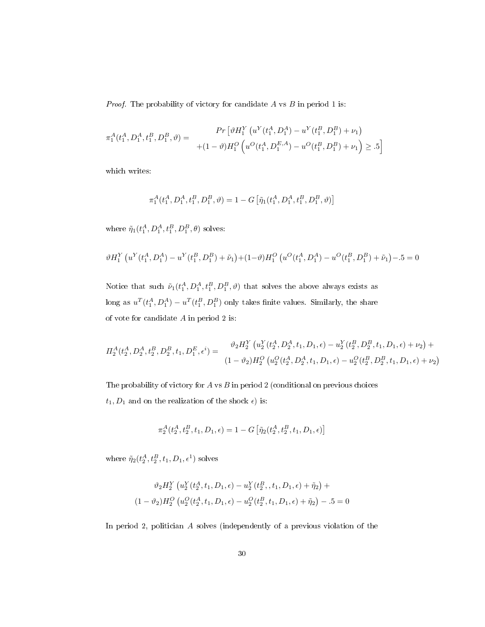*Proof.* The probability of victory for candidate  $A$  vs  $B$  in period 1 is:

$$
\pi_1^A(t_1^A, D_1^A, t_1^B, D_1^B, \vartheta) = \frac{Pr\left[\vartheta H_1^Y\left(u^Y(t_1^A, D_1^A) - u^Y(t_1^B, D_1^B) + \nu_1\right) \right]}{(1-\vartheta)H_1^O\left(u^O(t_1^A, D_1^{E,A}) - u^O(t_1^B, D_1^B) + \nu_1\right) \geq .5\right]}
$$

which writes:

$$
\pi_1^A(t_1^A,D_1^A,t_1^B,D_1^B,\vartheta)=1-G\left[\tilde{\eta}_1(t_1^A,D_1^A,t_1^B,D_1^B,\vartheta)\right]
$$

where  $\tilde{\eta}_1(t_1^A, D_1^A, t_1^B, D_1^B, \theta)$  solves:

$$
\vartheta H_1^Y \left( u^Y(t_1^A, D_1^A) - u^Y(t_1^B, D_1^B) + \tilde{\nu}_1 \right) + (1 - \vartheta) H_1^O \left( u^O(t_1^A, D_1^A) - u^O(t_1^B, D_1^B) + \tilde{\nu}_1 \right) - 0.5 = 0
$$

Notice that such  $\tilde{\nu}_1(t_1^A, D_1^A, t_1^B, D_1^B, \vartheta)$  that solves the above always exists as long as  $u^T(t_1^A, D_1^A) - u^T(t_1^B, D_1^B)$  only takes finite values. Similarly, the share of vote for candidate  $A$  in period 2 is:

$$
\Pi_2^A(t_2^A, D_2^A, t_2^B, D_2^B, t_1, D_1^E, \epsilon^i) = \frac{\vartheta_2 H_2^Y \left( u_2^Y(t_2^A, D_2^A, t_1, D_1, \epsilon) - u_2^Y(t_2^B, D_2^B, t_1, D_1, \epsilon) + \nu_2 \right) +}{(1 - \vartheta_2) H_2^O \left( u_2^O(t_2^A, D_2^A, t_1, D_1, \epsilon) - u_2^O(t_2^B, D_2^B, t_1, D_1, \epsilon) + \nu_2 \right)}
$$

The probability of victory for  $A$  vs  $B$  in period 2 (conditional on previous choices  $t_1, D_1$  and on the realization of the shock  $\epsilon)$  is:

$$
\pi_2^A(t_2^A, t_2^B, t_1, D_1, \epsilon) = 1 - G\left[\tilde{\eta}_2(t_2^A, t_2^B, t_1, D_1, \epsilon)\right]
$$

where  $\tilde{\eta}_2(t_2^A, t_2^B, t_1, D_1, \epsilon^1)$  solves

$$
\vartheta_2 H_2^Y \left( u_2^Y(t_2^A, t_1, D_1, \epsilon) - u_2^Y(t_2^B, t_1, D_1, \epsilon) + \tilde{\eta}_2 \right) +
$$
  

$$
(1 - \vartheta_2) H_2^O \left( u_2^O(t_2^A, t_1, D_1, \epsilon) - u_2^O(t_2^B, t_1, D_1, \epsilon) + \tilde{\eta}_2 \right) - .5 = 0
$$

In period 2, politician A solves (independently of a previous violation of the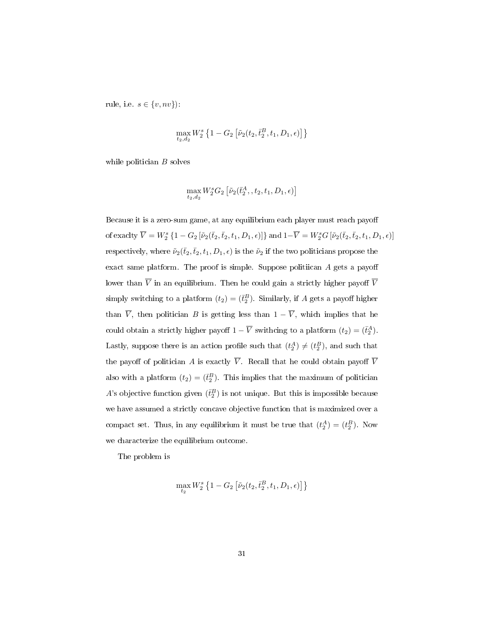rule, i.e.  $s \in \{v, nv\}$ ):

$$
\max_{t_2,d_2} W_2^s \left\{ 1 - G_2 \left[ \tilde{\nu}_2(t_2,\bar{t}_2^B,t_1,D_1,\epsilon) \right] \right\}
$$

while politician  $B$  solves

$$
\max_{t_2,d_2}W_2^sG_2\left[\tilde\nu_2(\bar t_2^A,,t_2,t_1,D_1,\epsilon)\right]
$$

Because it is a zero-sum game, at any equilibrium each player must reach payo of exaclty  $\overline{V} = W_2^s \left\{1 - G_2\left[\tilde{\nu}_2(\bar{t}_2,\bar{t}_2,t_1,D_1,\epsilon)\right]\right\}$  and  $1-\overline{V} = W_2^s G\left[\tilde{\nu}_2(\bar{t}_2,\bar{t}_2,t_1,D_1,\epsilon)\right]$ respectively, where  $\tilde{\nu}_2(\bar{t}_2,\bar{t}_2,t_1,D_1,\epsilon)$  is the  $\tilde{\nu}_2$  if the two politicians propose the exact same platform. The proof is simple. Suppose politiican  $A$  gets a payoff lower than  $\overline{V}$  in an equilibrium. Then he could gain a strictly higher payoff  $\overline{V}$ simply switching to a platform  $(t_2) = (\bar{t}_2^B)$ . Similarly, if A gets a payoff higher than  $\overline{V}$ , then politician B is getting less than  $1 - \overline{V}$ , which implies that he could obtain a strictly higher payoff  $1 - \overline{V}$  swithcing to a platform  $(t_2) = (\overline{t}_2^A)$ . Lastly, suppose there is an action profile such that  $(t_2^A) \neq (t_2^B)$ , and such that the payoff of politician A is exactly  $\overline{V}$ . Recall that he could obtain payoff  $\overline{V}$ also with a platform  $(t_2) = (\bar{t}_2^B)$ . This implies that the maximum of politician A's objective function given  $(\bar{t}_2^B)$  is not unique. But this is impossible because we have assumed a strictly concave objective function that is maximized over a compact set. Thus, in any equilibrium it must be true that  $(t_2^A) = (t_2^B)$ . Now we characterize the equilibrium outcome.

The problem is

$$
\max_{t_2} W_2^s \left\{ 1 - G_2 \left[ \tilde{\nu}_2(t_2, \bar{t}_2^B, t_1, D_1, \epsilon) \right] \right\}
$$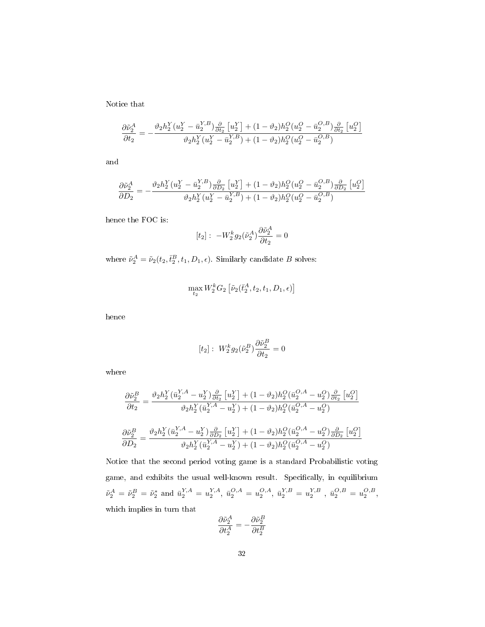Notice that

$$
\frac{\partial \tilde{\nu}_2^A}{\partial t_2} = -\frac{\vartheta_2 h_2^Y (u_2^Y - \bar{u}_2^{Y,B}) \frac{\partial}{\partial t_2} [u_2^Y] + (1 - \vartheta_2) h_2^O (u_2^O - \bar{u}_2^{O,B}) \frac{\partial}{\partial t_2} [u_2^O]}{\vartheta_2 h_2^Y (u_2^Y - \bar{u}_2^{Y,B}) + (1 - \vartheta_2) h_2^O (u_2^O - \bar{u}_2^{O,B})}
$$

and

$$
\frac{\partial \tilde{\nu}_2^A}{\partial D_2} = -\frac{\vartheta_2 h_2^Y (u_2^Y - \bar{u}_2^{Y,B}) \frac{\partial}{\partial D_2} [u_2^Y] + (1 - \vartheta_2) h_2^O (u_2^O - \bar{u}_2^{O,B}) \frac{\partial}{\partial D_2} [u_2^O]}{\vartheta_2 h_2^Y (u_2^Y - \bar{u}_2^{Y,B}) + (1 - \vartheta_2) h_2^O (u_2^O - \bar{u}_2^{O,B})}
$$

hence the FOC is:

$$
[t_2]: \ -W_2^k g_2(\tilde{\nu}_2^A) \frac{\partial \tilde{\nu}_2^A}{\partial t_2} = 0
$$

where  $\tilde{\nu}_2^A = \tilde{\nu}_2(t_2, \bar{t}_2^B, t_1, D_1, \epsilon)$ . Similarly candidate B solves:

$$
\max_{t_2} W_2^k G_2 \left[ \tilde \nu_2 (\bar t_2^A, t_2, t_1, D_1, \epsilon) \right]
$$

hence

$$
[t_2]: W_2^k g_2(\tilde{\nu}_2^B) \frac{\partial \tilde{\nu}_2^B}{\partial t_2} = 0
$$

where

$$
\frac{\partial \tilde{\nu}_{2}^{B}}{\partial t_{2}} = \frac{\vartheta_{2} h_{2}^{Y} (\bar{u}_{2}^{Y,A} - u_{2}^{Y}) \frac{\partial}{\partial t_{2}} \left[ u_{2}^{Y} \right] + (1 - \vartheta_{2}) h_{2}^{O} (\bar{u}_{2}^{O,A} - u_{2}^{O}) \frac{\partial}{\partial t_{2}} \left[ u_{2}^{O} \right]}{\vartheta_{2} h_{2}^{Y} (\bar{u}_{2}^{Y,A} - u_{2}^{Y}) + (1 - \vartheta_{2}) h_{2}^{O} (\bar{u}_{2}^{O,A} - u_{2}^{O})}
$$
\n
$$
\frac{\partial \tilde{\nu}_{2}^{B}}{\partial D_{2}} = \frac{\vartheta_{2} h_{2}^{Y} (\bar{u}_{2}^{Y,A} - u_{2}^{Y}) \frac{\partial}{\partial D_{2}} \left[ u_{2}^{Y} \right] + (1 - \vartheta_{2}) h_{2}^{O} (\bar{u}_{2}^{O,A} - u_{2}^{O}) \frac{\partial}{\partial D_{2}} \left[ u_{2}^{O} \right]}{\vartheta_{2} h_{2}^{Y} (\bar{u}_{2}^{Y,A} - u_{2}^{Y}) + (1 - \vartheta_{2}) h_{2}^{O} (\bar{u}_{2}^{O,A} - u_{2}^{O})}
$$

Notice that the second period voting game is a standard Probabilistic voting game, and exhibits the usual well-known result. Specifically, in equilibrium  $\tilde{\nu}_2^A = \tilde{\nu}_2^B = \tilde{\nu}_2^*$  and  $\bar{u}_2^{Y,A} = u_2^{Y,A}, \ \bar{u}_2^{O,A} = u_2^{O,A}, \ \bar{u}_2^{Y,B} = u_2^{Y,B}, \ \bar{u}_2^{O,B} = u_2^{O,B},$ which implies in turn that

$$
\frac{\partial \tilde{\nu}^A_2}{\partial t^A_2} = -\frac{\partial \tilde{\nu}^B_2}{\partial t^B_2}
$$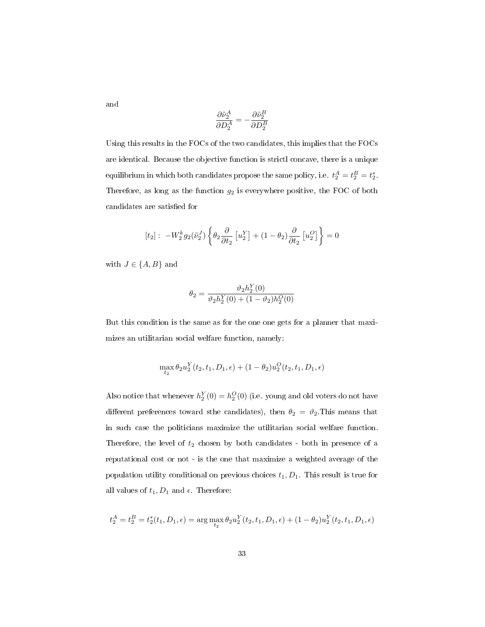and

$$
\frac{\partial \tilde{\nu}^A_2}{\partial D^A_2} = -\frac{\partial \tilde{\nu}^B_2}{\partial D^B_2}
$$

Using this results in the FOCs of the two candidates, this implies that the FOCs are identical. Because the objective function is strictl concave, there is a unique equilibrium in which both candidates propose the same policy, i.e.  $t_2^A = t_2^B = t_2^*$ . Therefore, as long as the function  $g_2$  is everywhere positive, the FOC of both candidates are satisfied for

$$
[t_2]: -W_2^k g_2(\tilde{\nu}_2^J) \left\{ \theta_2 \frac{\partial}{\partial t_2} \left[ u_2^Y \right] + (1 - \theta_2) \frac{\partial}{\partial t_2} \left[ u_2^O \right] \right\} = 0
$$

with  $J \in \{A, B\}$  and

$$
\theta_2 = \frac{\vartheta_2 h_2^Y(0)}{\vartheta_2 h_2^Y(0) + (1 - \vartheta_2) h_2^O(0)}
$$

But this condition is the same as for the one one gets for a planner that maximizes an utilitarian social welfare function, namely:

$$
\max_{t_2} \theta_2 u_2^Y(t_2, t_1, D_1, \epsilon) + (1 - \theta_2) u_2^O(t_2, t_1, D_1, \epsilon)
$$

Also notice that whenever  $h_2^Y(0) = h_2^O(0)$  (i.e. young and old voters do not have different preferences toward sthe candidates), then  $\theta_2 = \vartheta_2$ . This means that in such case the politicians maximize the utilitarian social welfare function. Therefore, the level of  $t_2$  chosen by both candidates - both in presence of a reputational cost or not - is the one that maximize a weighted average of the population utility conditional on previous choices  $t_1, D_1$ . This result is true for all values of  $t_1, D_1$  and  $\epsilon$ . Therefore:

$$
t_2^A = t_2^B = t_2^*(t_1, D_1, \epsilon) = \arg\max_{t_2} \theta_2 u_2^Y(t_2, t_1, D_1, \epsilon) + (1 - \theta_2) u_2^Y(t_2, t_1, D_1, \epsilon)
$$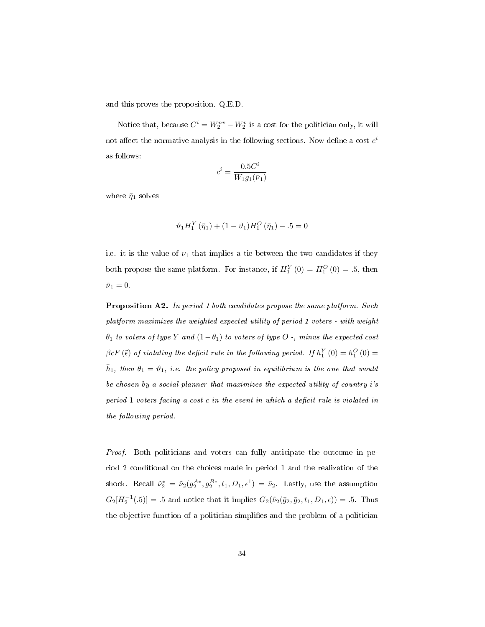and this proves the proposition. Q.E.D.

Notice that, because  $C^i = W_2^{nv} - W_2^v$  is a cost for the politician only, it will not affect the normative analysis in the following sections. Now define a cost  $c^i$ as follows:

$$
c^i = \frac{0.5C^i}{W_1 g_1(\bar{\nu}_1)}
$$

where  $\bar{\eta}_1$  solves

$$
\vartheta_1 H_1^Y(\bar{\eta}_1) + (1 - \vartheta_1) H_1^O(\bar{\eta}_1) - .5 = 0
$$

i.e. it is the value of  $\nu_1$  that implies a tie between the two candidates if they both propose the same platform. For instance, if  $H_1^Y(0) = H_1^O(0) = .5$ , then  $\bar{\nu}_1 = 0.$ 

Proposition A2. In period 1 both candidates propose the same platform. Such platform maximizes the weighted expected utility of period 1 voters - with weight  $\theta_1$  to voters of type Y and  $(1-\theta_1)$  to voters of type O -, minus the expected cost  $\beta c F\left(\tilde{\epsilon}\right)$  of violating the deficit rule in the following period. If  $h_{1}^{Y}\left(0\right)=h_{1}^{O}\left(0\right)=0$  $\bar{h}_1$ , then  $\theta_1 = \vartheta_1$ , i.e. the policy proposed in equilibrium is the one that would be chosen by a social planner that maximizes the expected utility of country i's period  $1$  voters facing a cost  $c$  in the event in which a deficit rule is violated in the following period.

Proof. Both politicians and voters can fully anticipate the outcome in period 2 conditional on the choices made in period 1 and the realization of the shock. Recall  $\tilde{\nu}_2^* = \tilde{\nu}_2(g_2^{A*}, g_2^{B*}, t_1, D_1, \epsilon^1) = \bar{\nu}_2$ . Lastly, use the assumption  $G_2[H_2^{-1}(.5)] = .5$  and notice that it implies  $G_2(\tilde{\nu}_2(\bar{g}_2, \bar{g}_2, t_1, D_1, \epsilon)) = .5$ . Thus the objective function of a politician simplifies and the problem of a politician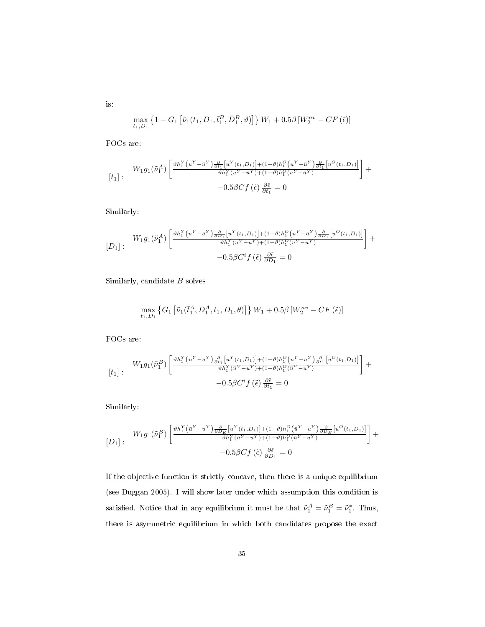$$
\max_{t_1,D_1}\left\{1-G_1\left[\tilde{\nu}_1(t_1,D_1,\bar{t}_1^B,\bar{D}_1^B,\vartheta)\right]\right\}W_1+0.5\beta\left[W_2^{nv}-CF\left(\tilde{\epsilon}\right)\right]
$$

FOCs are:

is:

$$
\begin{aligned}[t_1]: \quad & W_1g_1(\tilde{\nu}_1^A)\left[\frac{\vartheta h_1^Y\left(u^Y-\bar{u}^Y\right)\frac{\partial}{\partial t_1}\left[u^Y(t_1,D_1)\right]+(1-\vartheta)h_1^O\left(u^Y-\bar{u}^Y\right)\frac{\partial}{\partial t_1}\left[u^O(t_1,D_1)\right]}{\vartheta h_1^Y(u^Y-\bar{u}^Y)+(1-\vartheta)h_1^O(u^Y-\bar{u}^Y)}\right]+\\ &\quad\left.-0.5\beta C f\left(\tilde{\epsilon}\right)\frac{\partial \tilde{\epsilon}}{\partial t_1}=0\end{aligned}
$$

Similarly:

$$
[D_1]: \quad W_1 g_1(\tilde{\nu}_1^A) \left[ \frac{\partial h_1^Y(u^Y - \bar{u}^Y) \frac{\partial}{\partial D_1} \left[ u^Y(t_1, D_1) \right] + (1 - \vartheta) h_1^O(u^Y - \bar{u}^Y) \frac{\partial}{\partial D_1} \left[ u^O(t_1, D_1) \right]}{\vartheta h_1^Y(u^Y - \bar{u}^Y) + (1 - \vartheta) h_1^O(u^Y - \bar{u}^Y)} \right] + \\ -0.5 \beta C^i f(\tilde{\epsilon}) \frac{\partial \tilde{\epsilon}}{\partial D_1} = 0
$$

Similarly, candidate  $B$  solves

$$
\max_{t_1, D_1} \left\{ G_1 \left[ \tilde{\nu}_1(\bar{t}_1^A, \bar{D}_1^A, t_1, D_1, \theta) \right] \right\} W_1 + 0.5\beta \left[ W_2^{nv} - C F\left( \tilde{\epsilon} \right) \right]
$$

FOCs are:

$$
\begin{aligned}[t_1]: \quad &W_1g_1(\tilde{\nu}_1^B)\left[\frac{\vartheta h_1^Y(\bar{u}^Y-u^Y)\frac{\partial}{\partial t_1}\left[u^Y(t_1,D_1)\right]+(1-\vartheta)h_1^O\left(\bar{u}^Y-u^Y\right)\frac{\partial}{\partial t_1}\left[u^O(t_1,D_1)\right]}{\vartheta h_1^Y(\bar{u}^Y-u^Y)+(1-\vartheta)h_1^O(\bar{u}^Y-u^Y)}\right]+\\ &\quad\left.-0.5\beta C^if\left(\tilde{\epsilon}\right)\frac{\partial\tilde{\epsilon}}{\partial t_1}=0\end{aligned}
$$

Similarly:

$$
[D_1]: \quad W_1 g_1(\tilde{\nu}_1^B) \left[ \frac{\partial h_1^Y(\bar{u}^Y - u^Y) \frac{\partial}{\partial D_E} [u^Y(t_1, D_1)] + (1 - \vartheta) h_1^O(\bar{u}^Y - u^Y) \frac{\partial}{\partial D_E} [u^O(t_1, D_1)]}{\partial h_1^Y(\bar{u}^Y - u^Y) + (1 - \vartheta) h_1^O(\bar{u}^Y - u^Y)} \right] + -0.5 \beta C f(\tilde{\epsilon}) \frac{\partial \tilde{\epsilon}}{\partial D_1} = 0
$$

If the objective function is strictly concave, then there is a unique equilibrium (see Duggan 2005). I will show later under which assumption this condition is satisfied. Notice that in any equilibrium it must be that  $\tilde{\nu}_1^A = \tilde{\nu}_1^B = \tilde{\nu}_1^*$ . Thus, there is asymmetric equilibrium in which both candidates propose the exact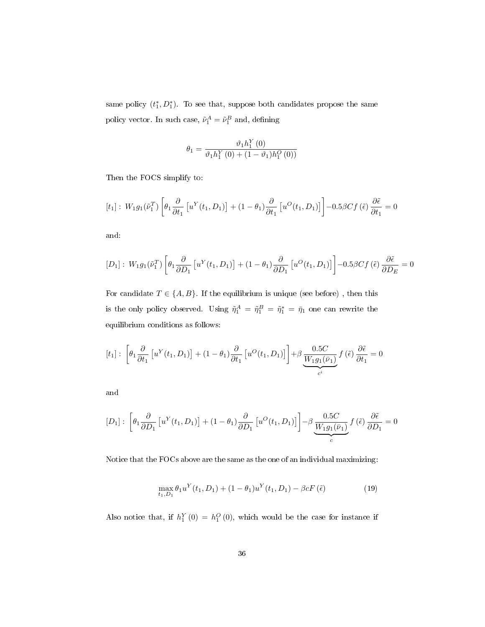same policy  $(t_1^*, D_1^*)$ . To see that, suppose both candidates propose the same policy vector. In such case,  $\tilde{\nu}_1^A = \tilde{\nu}_1^B$  and, defining

$$
\theta_1 = \frac{\vartheta_1 h_1^Y(0)}{\vartheta_1 h_1^Y(0) + (1 - \vartheta_1) h_1^O(0))}
$$

Then the FOCS simplify to:

$$
[t_1]: W_1 g_1(\tilde{\nu}_1^T) \left[ \theta_1 \frac{\partial}{\partial t_1} \left[ u^Y(t_1, D_1) \right] + (1 - \theta_1) \frac{\partial}{\partial t_1} \left[ u^O(t_1, D_1) \right] \right] - 0.5 \beta C f(\tilde{\epsilon}) \frac{\partial \tilde{\epsilon}}{\partial t_1} = 0
$$

and:

$$
[D_1]: W_1 g_1(\tilde{\nu}_1^T) \left[ \theta_1 \frac{\partial}{\partial D_1} \left[ u^Y(t_1, D_1) \right] + (1 - \theta_1) \frac{\partial}{\partial D_1} \left[ u^O(t_1, D_1) \right] \right] - 0.5 \beta C f(\tilde{\epsilon}) \frac{\partial \tilde{\epsilon}}{\partial D_E} = 0
$$

For candidate  $T \in \{A, B\}$ . If the equilibrium is unique (see before), then this is the only policy observed. Using  $\tilde{\eta}_1^A = \tilde{\eta}_1^B = \tilde{\eta}_1^* = \bar{\eta}_1$  one can rewrite the equilibrium conditions as follows:

$$
[t_1]: \left[\theta_1 \frac{\partial}{\partial t_1} \left[ u^Y(t_1, D_1) \right] + (1 - \theta_1) \frac{\partial}{\partial t_1} \left[ u^O(t_1, D_1) \right] \right] + \beta \underbrace{\frac{0.5C}{W_1 g_1(\bar{\nu}_1)}}_{c^i} f(\tilde{\epsilon}) \frac{\partial \tilde{\epsilon}}{\partial t_1} = 0
$$

and

$$
[D_1]: \left[\theta_1 \frac{\partial}{\partial D_1} \left[ u^Y(t_1, D_1) \right] + (1 - \theta_1) \frac{\partial}{\partial D_1} \left[ u^O(t_1, D_1) \right] \right] - \beta \underbrace{\frac{0.5C}{W_1 g_1(\bar{\nu}_1)}}_{c} f(\tilde{\epsilon}) \frac{\partial \tilde{\epsilon}}{\partial D_1} = 0
$$

Notice that the FOCs above are the same as the one of an individual maximizing:

$$
\max_{t_1, D_1} \theta_1 u^Y(t_1, D_1) + (1 - \theta_1) u^Y(t_1, D_1) - \beta c F(\tilde{\epsilon})
$$
\n(19)

Also notice that, if  $h_1^Y(0) = h_1^O(0)$ , which would be the case for instance if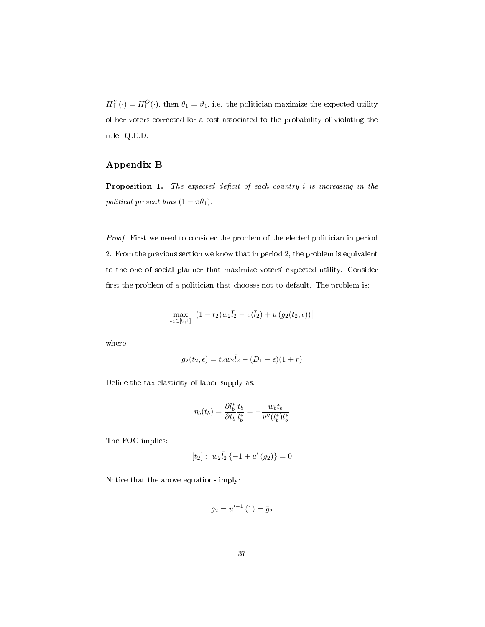$H_1^Y(\cdot) = H_1^O(\cdot)$ , then  $\theta_1 = \theta_1$ , i.e. the politician maximize the expected utility of her voters corrected for a cost associated to the probability of violating the rule. Q.E.D.

# Appendix B

**Proposition 1.** The expected deficit of each country  $i$  is increasing in the political present bias  $(1 - \pi \theta_1)$ .

Proof. First we need to consider the problem of the elected politician in period 2. From the previous section we know that in period 2, the problem is equivalent to the one of social planner that maximize voters' expected utility. Consider first the problem of a politician that chooses not to default. The problem is:

$$
\max_{t_2 \in [0,1]} [(1-t_2)w_2\overline{l}_2 - v(\overline{l}_2) + u(g_2(t_2, \epsilon))]
$$

where

$$
g_2(t_2,\epsilon)=t_2w_2\bar{l}_2-(D_1-\epsilon)(1+r)
$$

Define the tax elasticity of labor supply as:

$$
\eta_b(t_b) = \frac{\partial l_b^*}{\partial t_b} \frac{t_b}{l_b^*} = -\frac{w_b t_b}{v''(l_b^*) l_b^*}
$$

The FOC implies:

$$
[t_2]: w_2\bar{l}_2\{-1+u'(g_2)\}=0
$$

Notice that the above equations imply:

$$
g_2 = u'^{-1}(1) = \bar{g}_2
$$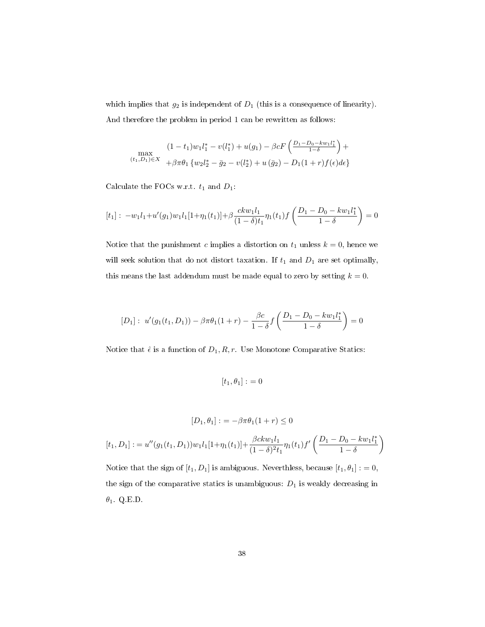which implies that  $g_2$  is independent of  $D_1$  (this is a consequence of linearity). And therefore the problem in period 1 can be rewritten as follows:

$$
(1 - t_1)w_1l_1^* - v(l_1^*) + u(g_1) - \beta cF\left(\frac{D_1 - D_0 - kw_1l_1^*}{1 - \delta}\right) +
$$
  

$$
(t_1, D_1) \in X + \beta \pi \theta_1 \{w_2l_2^* - \bar{g}_2 - v(l_2^*) + u(\bar{g}_2) - D_1(1+r)f(\epsilon)d\epsilon\}
$$

Calculate the FOCs w.r.t.  $t_1$  and  $D_1$ :

$$
[t_1]: -w_1l_1+u'(g_1)w_1l_1[1+\eta_1(t_1)]+\beta \frac{ckw_1l_1}{(1-\delta)t_1}\eta_1(t_1)f\left(\frac{D_1-D_0-kw_1l_1^*}{1-\delta}\right)=0
$$

Notice that the punishment c implies a distortion on  $t_1$  unless  $k = 0$ , hence we will seek solution that do not distort taxation. If  $t_1$  and  $D_1$  are set optimally, this means the last addendum must be made equal to zero by setting  $k = 0$ .

$$
[D_1]: u'(g_1(t_1, D_1)) - \beta \pi \theta_1 (1+r) - \frac{\beta c}{1-\delta} f\left(\frac{D_1 - D_0 - k w_1 l_1^*}{1-\delta}\right) = 0
$$

Notice that  $\hat{\epsilon}$  is a function of  $D_1, R, r$ . Use Monotone Comparative Statics:

$$
[t_1, \theta_1] : = 0
$$

$$
[D_1, \theta_1] := -\beta \pi \theta_1 (1+r) \le 0
$$

$$
[t_1, D_1] := u''(g_1(t_1, D_1))w_1l_1[1+\eta_1(t_1)] + \frac{\beta ckw_1l_1}{(1-\delta)^2t_1}\eta_1(t_1)f'\left(\frac{D_1 - D_0 - kw_1l_1^*}{1-\delta}\right)
$$

Notice that the sign of  $[t_1, D_1]$  is ambiguous. Neverthless, because  $[t_1, \theta_1] := 0$ , the sign of the comparative statics is unambiguous:  $D_1$  is weakly decreasing in  $\theta_1$ . Q.E.D.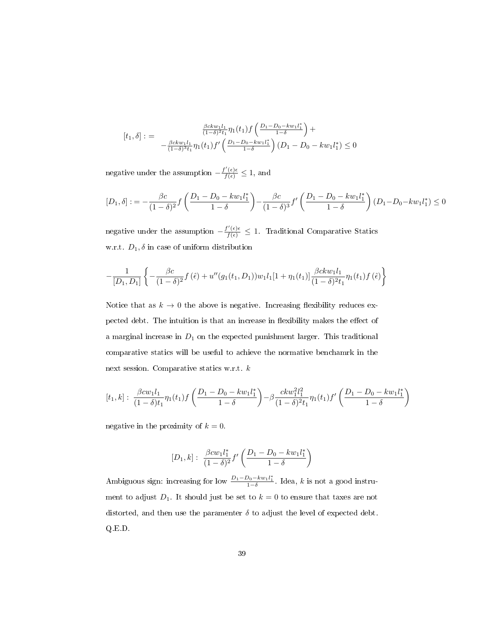$$
[t_1, \delta] := \frac{\frac{\beta c k w_1 l_1}{(1 - \delta)^2 t_1} \eta_1(t_1) f\left(\frac{D_1 - D_0 - k w_1 l_1^*}{1 - \delta}\right) + \frac{\beta c k w_1 l_1}{(1 - \delta)^3 t_1} \eta_1(t_1) f'\left(\frac{D_1 - D_0 - k w_1 l_1^*}{1 - \delta}\right) (D_1 - D_0 - k w_1 l_1^*) \le 0
$$

negative under the assumption  $-\frac{f'(\epsilon)\epsilon}{f(\epsilon)} \leq 1$ , and

$$
[D_1, \delta] := -\frac{\beta c}{(1-\delta)^2} f\left(\frac{D_1 - D_0 - kw_1 l_1^*}{1-\delta}\right) - \frac{\beta c}{(1-\delta)^3} f'\left(\frac{D_1 - D_0 - kw_1 l_1^*}{1-\delta}\right) (D_1 - D_0 - kw_1 l_1^*) \le 0
$$

negative under the assumption  $-\frac{f'(\epsilon)\epsilon}{f(\epsilon)} \leq 1$ . Traditional Comparative Statics w.r.t.  $D_1$ ,  $\delta$  in case of uniform distribution

$$
-\frac{1}{[D_1, D_1]} \left\{-\frac{\beta c}{(1-\delta)^2}f(\hat{\epsilon})+u''(g_1(t_1, D_1))w_1l_1[1+\eta_1(t_1)]\frac{\beta ckw_1l_1}{(1-\delta)^2t_1}\eta_1(t_1)f(\hat{\epsilon})\right\}
$$

Notice that as  $k \to 0$  the above is negative. Increasing flexibility reduces expected debt. The intuition is that an increase in flexibility makes the effect of a marginal increase in  $D_1$  on the expected punishment larger. This traditional comparative statics will be useful to achieve the normative benchamrk in the next session. Comparative statics w.r.t. k

$$
[t_1,k]: \frac{\beta c w_1 l_1}{(1-\delta)t_1}\eta_1(t_1)f\left(\frac{D_1-D_0-k w_1 l_1^*}{1-\delta}\right)-\beta \frac{c k w_1^2 l_1^2}{(1-\delta)^2 t_1}\eta_1(t_1)f'\left(\frac{D_1-D_0-k w_1 l_1^*}{1-\delta}\right)
$$

negative in the proximity of  $k = 0$ .

$$
[D_1, k]: \ \frac{\beta c w_1 l_1^*}{(1-\delta)^2} f'\left(\frac{D_1 - D_0 - k w_1 l_1^*}{1-\delta}\right)
$$

Ambiguous sign: increasing for low  $\frac{D_1 - D_0 - k w_1 l_1^*}{1 - \delta}$ . Idea, k is not a good instrument to adjust  $D_1$ . It should just be set to  $k = 0$  to ensure that taxes are not distorted, and then use the paramenter  $\delta$  to adjust the level of expected debt. Q.E.D.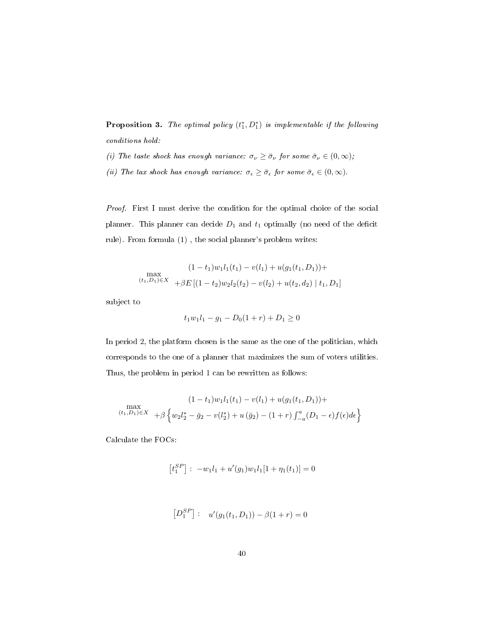**Proposition 3.** The optimal policy  $(t_1^*, D_1^*)$  is implementable if the following conditions hold:

- (i) The taste shock has enough variance:  $\sigma_{\nu} \geq \bar{\sigma}_{\nu}$  for some  $\bar{\sigma}_{\nu} \in (0, \infty)$ ;
- (ii) The tax shock has enough variance:  $\sigma_{\epsilon} \ge \bar{\sigma}_{\epsilon}$  for some  $\bar{\sigma}_{\epsilon} \in (0, \infty)$ .

Proof. First I must derive the condition for the optimal choice of the social planner. This planner can decide  $D_1$  and  $t_1$  optimally (no need of the deficit rule). From formula (1) , the social planner's problem writes:

$$
(1-t_1)w_1l_1(t_1) - v(l_1) + u(g_1(t_1, D_1)) +
$$
  
\n
$$
\max_{(t_1, D_1) \in X} \quad + \beta E\left[ (1-t_2)w_2l_2(t_2) - v(l_2) + u(t_2, d_2) \mid t_1, D_1 \right]
$$

subject to

$$
t_1 w_1 l_1 - g_1 - D_0 (1+r) + D_1 \ge 0
$$

In period 2, the platform chosen is the same as the one of the politician, which corresponds to the one of a planner that maximizes the sum of voters utilities. Thus, the problem in period 1 can be rewritten as follows:

$$
(1-t_1)w_1l_1(t_1) - v(l_1) + u(g_1(t_1, D_1)) +
$$
  
\n
$$
(t_1, D_1)\in X + \beta \left\{ w_2l_2^* - \bar{g}_2 - v(l_2^*) + u(\bar{g}_2) - (1+r)\int_{-a}^{a} (D_1 - \epsilon)f(\epsilon)d\epsilon \right\}
$$

Calculate the FOCs:

$$
\left[t_1^{SP}\right]:\ -w_1l_1+u'(g_1)w_1l_1[1+\eta_1(t_1)]=0
$$

$$
[D_1^{SP}] : u'(g_1(t_1, D_1)) - \beta(1+r) = 0
$$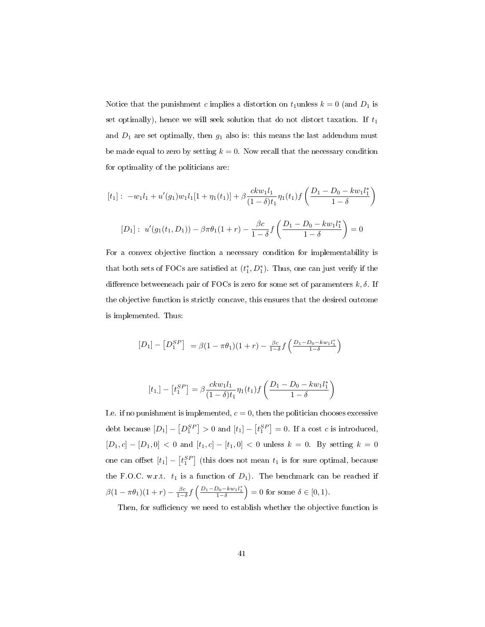Notice that the punishment c implies a distortion on  $t_1$ unless  $k = 0$  (and  $D_1$  is set optimally), hence we will seek solution that do not distort taxation. If  $t_1$ and  $D_1$  are set optimally, then  $g_1$  also is: this means the last addendum must be made equal to zero by setting  $k = 0$ . Now recall that the necessary condition for optimality of the politicians are:

$$
[t_1]: -w_1l_1 + u'(g_1)w_1l_1[1 + \eta_1(t_1)] + \beta \frac{ckw_1l_1}{(1 - \delta)t_1}\eta_1(t_1)f\left(\frac{D_1 - D_0 - kw_1l_1^*}{1 - \delta}\right)
$$

$$
[D_1]: u'(g_1(t_1, D_1)) - \beta \pi \theta_1(1 + r) - \frac{\beta c}{1 - \delta}f\left(\frac{D_1 - D_0 - kw_1l_1^*}{1 - \delta}\right) = 0
$$

For a convex objective finction a necessary condition for implementability is that both sets of FOCs are satisfied at  $(t_1^*, D_1^*)$ . Thus, one can just verify if the difference betweeneach pair of FOCs is zero for some set of paramenters  $k, \delta$ . If the objective function is strictly concave, this ensures that the desired outcome is implemented. Thus:

$$
[D_1] - [D_1^{SP}] = \beta (1 - \pi \theta_1)(1 + r) - \frac{\beta c}{1 - \delta} f\left(\frac{D_1 - D_0 - k w_1 l_1^*}{1 - \delta}\right)
$$

$$
[t_1] - [t_1^{SP}] = \beta \frac{ckw_1 l_1}{(1 - \delta)t_1} \eta_1(t_1) f\left(\frac{D_1 - D_0 - kw_1 l_1^*}{1 - \delta}\right)
$$

I.e. if no punishment is implemented,  $c = 0$ , then the politician chooses excessive debt because  $[D_1] - [D_1^{SP}] > 0$  and  $[t_1] - [t_1^{SP}] = 0$ . If a cost c is introduced,  $[D_1, c] - [D_1, 0] < 0$  and  $[t_1, c] - [t_1, 0] < 0$  unless  $k = 0$ . By setting  $k = 0$ one can offset  $[t_1] - [t_1^{SP}]$  (this does not mean  $t_1$  is for sure optimal, because the F.O.C. w.r.t.  $t_1$  is a function of  $D_1$ ). The benchmark can be reached if  $\beta(1-\pi\theta_1)(1+r) - \frac{\beta c}{1-\delta} f\left(\frac{D_1-D_0-kw_1l_1^*}{1-\delta}\right) = 0$  for some  $\delta \in [0,1)$ .

Then, for sufficiency we need to establish whether the objective function is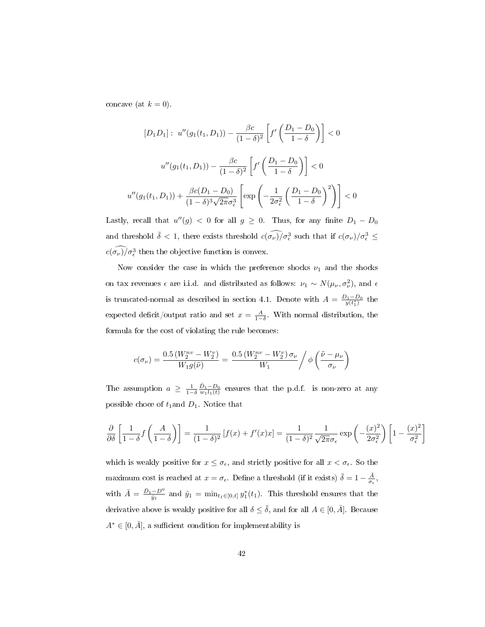concave (at  $k = 0$ ).

$$
[D_1 D_1]: \ u''(g_1(t_1, D_1)) - \frac{\beta c}{(1 - \delta)^2} \left[ f' \left( \frac{D_1 - D_0}{1 - \delta} \right) \right] < 0
$$

$$
u''(g_1(t_1, D_1)) - \frac{\beta c}{(1 - \delta)^2} \left[ f' \left( \frac{D_1 - D_0}{1 - \delta} \right) \right] < 0
$$

$$
u''(g_1(t_1, D_1)) + \frac{\beta c (D_1 - D_0)}{(1 - \delta)^3 \sqrt{2\pi} \sigma_{\epsilon}^3} \left[ \exp\left( -\frac{1}{2\sigma_{\epsilon}^2} \left( \frac{D_1 - D_0}{1 - \delta} \right)^2 \right) \right] < 0
$$

Lastly, recall that  $u''(g) < 0$  for all  $g \ge 0$ . Thus, for any finite  $D_1 - D_0$ and threshold  $\bar{\delta}$  < 1, there exists threshold  $c(\widehat{\sigma_{\nu}})/\sigma_{\epsilon}^{3}$  such that if  $c(\sigma_{\nu})/\sigma_{\epsilon}^{3}$   $\leq$  $c(\sigma_{\nu})/\sigma_{\epsilon}^3$  then the objective function is convex.

Now consider the case in which the preference shocks  $\nu_1$  and the shocks on tax revenues  $\epsilon$  are i.i.d. and distributed as follows:  $\nu_1 \sim N(\mu_\nu, \sigma_\nu^2)$ , and  $\epsilon$ is truncated-normal as described in section 4.1. Denote with  $A = \frac{D_1 - D_0}{y(t_1^*)}$  the expected deficit/output ratio and set  $x = \frac{A}{1-\delta}$ . With normal distribution, the formula for the cost of violating the rule becomes:

$$
c(\sigma_{\nu}) = \frac{0.5 \left(W_2^{nv} - W_2^v\right)}{W_1 g(\tilde{\nu})} = \frac{0.5 \left(W_2^{nv} - W_2^v\right) \sigma_{\nu}}{W_1} / \phi\left(\frac{\tilde{\nu} - \mu_{\nu}}{\sigma_{\nu}}\right)
$$

The assumption  $a \geq \frac{1}{1-\delta} \frac{\bar{D}_1 - D_0}{w_1 l_1(t)}$  ensures that the p.d.f. is non-zero at any possible choce of  $t_1$ and  $D_1$ . Notice that

$$
\frac{\partial}{\partial \delta} \left[ \frac{1}{1-\delta} f\left( \frac{A}{1-\delta} \right) \right] = \frac{1}{(1-\delta)^2} \left[ f(x) + f'(x) x \right] = \frac{1}{(1-\delta)^2} \frac{1}{\sqrt{2\pi}\sigma_{\epsilon}} \exp\left( -\frac{(x)^2}{2\sigma_{\epsilon}^2} \right) \left[ 1 - \frac{(x)^2}{\sigma_{\epsilon}^2} \right]
$$

which is weakly positive for  $x \leq \sigma_{\epsilon}$ , and strictly positive for all  $x < \sigma_{\epsilon}$ . So the maximum cost is reached at  $x = \sigma_{\epsilon}$ . Define a threshold (if it exists)  $\bar{\delta} = 1 - \frac{\bar{A}}{\sigma_{\epsilon}}$ , with  $\bar{A} = \frac{\bar{D}_1 - D^0}{\hat{y}_1}$  and  $\hat{y}_1 = \min_{t_1 \in [0,t]} y_1^*(t_1)$ . This threshold ensures that the derivative above is weakly positive for all  $\delta \leq \bar{\delta}$ , and for all  $A \in [0, \bar{A}]$ . Because  $A^* \in [0, \overline{A}]$ , a sufficient condition for implementability is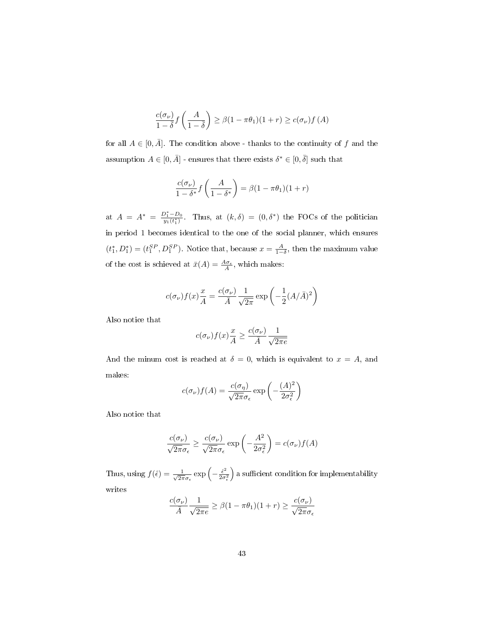$$
\frac{c(\sigma_{\nu})}{1-\overline{\delta}}f\left(\frac{A}{1-\overline{\delta}}\right) \ge \beta(1-\pi\theta_1)(1+r) \ge c(\sigma_{\nu})f(A)
$$

for all  $A \in [0, \overline{A}]$ . The condition above - thanks to the continuity of f and the assumption  $A \in [0, \overline{A}]$  - ensures that there exists  $\delta^* \in [0, \overline{\delta}]$  such that

$$
\frac{c(\sigma_{\nu})}{1-\delta^*}f\left(\frac{A}{1-\delta^*}\right) = \beta(1-\pi\theta_1)(1+r)
$$

at  $A = A^* = \frac{D_1^* - D_0}{y_1(t_1^*)}$ . Thus, at  $(k, \delta) = (0, \delta^*)$  the FOCs of the politician in period 1 becomes identical to the one of the social planner, which ensures  $(t_1^*, D_1^*) = (t_1^{SP}, D_1^{SP})$ . Notice that, because  $x = \frac{A}{1-\delta}$ , then the maximum value of the cost is schieved at  $\bar{x}(A) = \frac{A\sigma_{\epsilon}}{A}$ , which makes:

$$
c(\sigma_{\nu})f(x)\frac{x}{A} = \frac{c(\sigma_{\nu})}{\bar{A}}\frac{1}{\sqrt{2\pi}}\exp\left(-\frac{1}{2}(A/\bar{A})^2\right)
$$

Also notice that

$$
c(\sigma_{\nu})f(x)\frac{x}{A} \ge \frac{c(\sigma_{\nu})}{\bar{A}}\frac{1}{\sqrt{2\pi e}}
$$

And the minum cost is reached at  $\delta = 0$ , which is equivalent to  $x = A$ , and makes:

$$
c(\sigma_{\nu})f(A) = \frac{c(\sigma_{\eta})}{\sqrt{2\pi}\sigma_{\epsilon}} \exp\left(-\frac{(A)^2}{2\sigma_{\epsilon}^2}\right)
$$

Also notice that

$$
\frac{c(\sigma_{\nu})}{\sqrt{2\pi}\sigma_{\epsilon}} \ge \frac{c(\sigma_{\nu})}{\sqrt{2\pi}\sigma_{\epsilon}} \exp\left(-\frac{A^2}{2\sigma_{\epsilon}^2}\right) = c(\sigma_{\nu})f(A)
$$

Thus, using  $f(\hat{\epsilon}) = \frac{1}{\sqrt{2}}$  $\frac{1}{2\pi\sigma_{\epsilon}}\exp\left(-\frac{\hat{\epsilon}^2}{2\sigma_{\epsilon}}\right)$  $\overline{2\sigma_{\epsilon}^2}$  $\big)$  a sufficient condition for implementability writes

$$
\frac{c(\sigma_{\nu})}{\bar{A}} \frac{1}{\sqrt{2\pi e}} \ge \beta(1 - \pi \theta_1)(1 + r) \ge \frac{c(\sigma_{\nu})}{\sqrt{2\pi}\sigma_{\epsilon}}
$$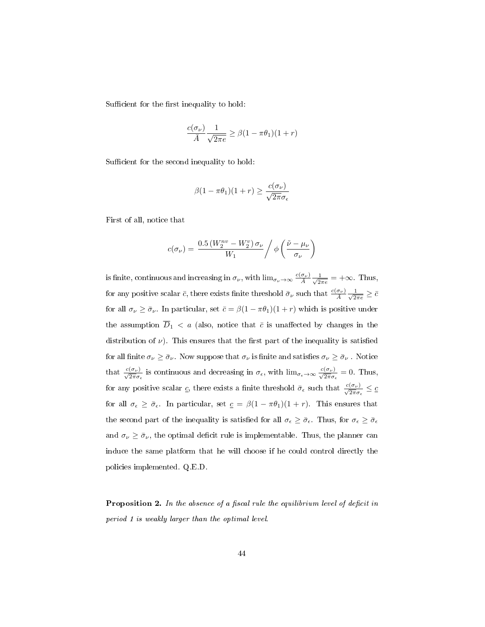Sufficient for the first inequality to hold:

$$
\frac{c(\sigma_{\nu})}{\bar{A}} \frac{1}{\sqrt{2\pi e}} \ge \beta(1 - \pi \theta_1)(1 + r)
$$

Sufficient for the second inequality to hold:

$$
\beta(1 - \pi \theta_1)(1 + r) \ge \frac{c(\sigma_\nu)}{\sqrt{2\pi}\sigma_\epsilon}
$$

First of all, notice that

$$
c(\sigma_{\nu}) = \frac{0.5 \left(W_2^{nv} - W_2^v\right) \sigma_{\nu}}{W_1} / \phi\left(\frac{\tilde{\nu} - \mu_{\nu}}{\sigma_{\nu}}\right)
$$

is finite, continuous and increasing in  $\sigma_\nu$ , with  $\lim_{\sigma_\nu \to \infty} \frac{c(\sigma_\nu)}{\bar{A}} \frac{1}{\sqrt{2}}$  $\frac{1}{2\pi e}$  =  $+\infty$ . Thus, for any positive scalar  $\bar{c}$ , there exists finite threshold  $\bar{\sigma}_{\nu}$  such that  $\frac{c(\sigma_{\nu})}{\bar{A}}\frac{1}{\sqrt{2}}$  $\frac{1}{2\pi e} \geq \bar{c}$ for all  $\sigma_{\nu} \ge \bar{\sigma}_{\nu}$ . In particular, set  $\bar{c} = \beta(1 - \pi \theta_1)(1 + r)$  which is positive under the assumption  $\overline{D}_1$  < a (also, notice that  $\overline{c}$  is unaffected by changes in the distribution of  $\nu$ ). This ensures that the first part of the inequality is satisfied for all finite  $\sigma_\nu \ge \bar{\sigma}_\nu$ . Now suppose that  $\sigma_\nu$  is finite and satisfies  $\sigma_\nu \ge \bar{\sigma}_\nu$ . Notice that  $\frac{c(\sigma_{\nu})}{\sqrt{2\pi}\sigma_{\epsilon}}$  is continuous and decreasing in  $\sigma_{\epsilon}$ , with  $\lim_{\sigma_{\epsilon}\to\infty} \frac{c(\sigma_{\nu})}{\sqrt{2\pi}\sigma_{\epsilon}} = 0$ . Thus, for any positive scalar  $\underline{c}$ , there exists a finite threshold  $\bar{\sigma}_{\epsilon}$  such that  $\frac{c(\sigma_{\nu})}{\sqrt{2\pi}\sigma_{\epsilon}} \leq \underline{c}$ for all  $\sigma_{\epsilon} \geq \bar{\sigma}_{\epsilon}$ . In particular, set  $c = \beta(1 - \pi \theta_1)(1 + r)$ . This ensures that the second part of the inequality is satisfied for all  $\sigma_{\epsilon} \ge \bar{\sigma}_{\epsilon}$ . Thus, for  $\sigma_{\epsilon} \ge \bar{\sigma}_{\epsilon}$ and  $\sigma_{\nu} \geq \bar{\sigma}_{\nu}$ , the optimal deficit rule is implementable. Thus, the planner can induce the same platform that he will choose if he could control directly the policies implemented. Q.E.D.

**Proposition 2.** In the absence of a fiscal rule the equilibrium level of deficit in period 1 is weakly larger than the optimal level.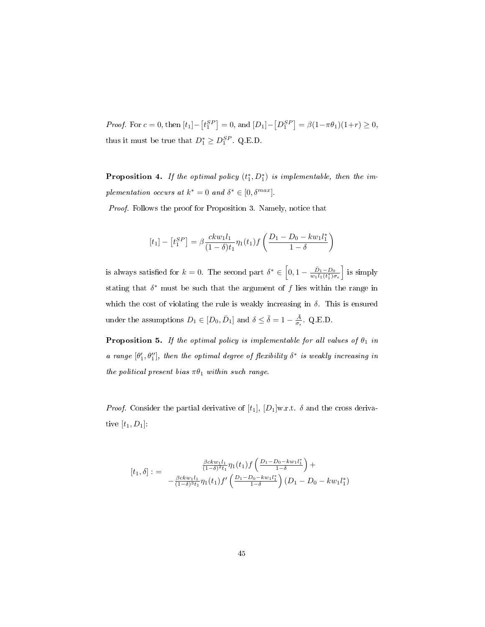*Proof.* For  $c = 0$ , then  $[t_1] - [t_1^{SP}] = 0$ , and  $[D_1] - [D_1^{SP}] = \beta(1 - \pi \theta_1)(1 + r) \ge 0$ , thus it must be true that  $D_1^* \geq D_1^{SP}$ . Q.E.D.

**Proposition 4.** If the optimal policy  $(t_1^*, D_1^*)$  is implementable, then the implementation occurs at  $k^* = 0$  and  $\delta^* \in [0, \delta^{max}]$ .

Proof. Follows the proof for Proposition 3. Namely, notice that

$$
[t_1] - [t_1^{SP}] = \beta \frac{ckw_1 l_1}{(1 - \delta)t_1} \eta_1(t_1) f\left(\frac{D_1 - D_0 - kw_1 l_1^*}{1 - \delta}\right)
$$

is always satisfied for  $k = 0$ . The second part  $\delta^* \in \left[0, 1 - \frac{\bar{D}_1 - D_0}{w_1 l_1(t_1^*) \sigma_{\epsilon}}\right]$  is simply stating that  $\delta^*$  must be such that the argument of f lies within the range in which the cost of violating the rule is weakly increasing in  $\delta$ . This is ensured under the assumptions  $D_1 \in [D_0, \bar{D}_1]$  and  $\delta \leq \bar{\delta} = 1 - \frac{\bar{A}}{\sigma_{\epsilon}}$ . Q.E.D.

**Proposition 5.** If the optimal policy is implementable for all values of  $\theta_1$  in a range  $[\theta'_1, \theta''_1]$ , then the optimal degree of flexibility  $\delta^*$  is weakly increasing in the political present bias  $\pi \theta_1$  within such range.

*Proof.* Consider the partial derivative of  $[t_1]$ ,  $[D_1]$ w.r.t.  $\delta$  and the cross derivative  $[t_1, D_1]$ :

$$
[t_1, \delta] := \frac{\frac{\beta c k w_1 l_1}{(1-\delta)^2 t_1} \eta_1(t_1) f\left(\frac{D_1 - D_0 - k w_1 l_1^*}{1-\delta}\right) + \frac{\beta c k w_1 l_1}{(1-\delta)^3 t_1} \eta_1(t_1) f'\left(\frac{D_1 - D_0 - k w_1 l_1^*}{1-\delta}\right) (D_1 - D_0 - k w_1 l_1^*)}
$$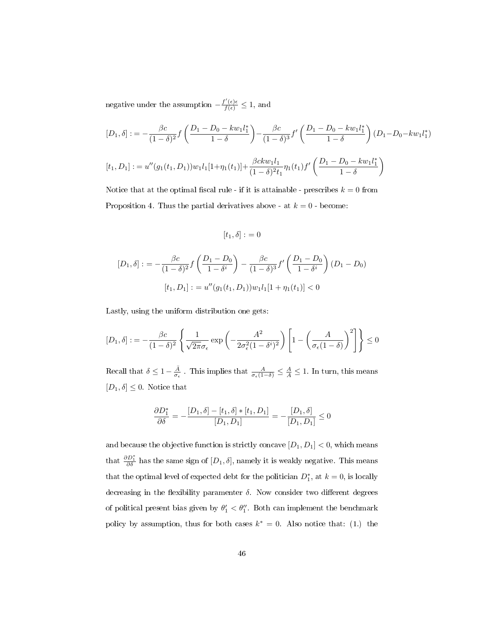negative under the assumption  $-\frac{f'(\epsilon)\epsilon}{f(\epsilon)} \leq 1$ , and

$$
[D_1, \delta] := -\frac{\beta c}{(1-\delta)^2} f\left(\frac{D_1 - D_0 - kw_1 l_1^*}{1-\delta}\right) - \frac{\beta c}{(1-\delta)^3} f'\left(\frac{D_1 - D_0 - kw_1 l_1^*}{1-\delta}\right) (D_1 - D_0 - kw_1 l_1^*)
$$
  

$$
[t_1, D_1] := u''(g_1(t_1, D_1))w_1 l_1 [1 + \eta_1(t_1)] + \frac{\beta ckw_1 l_1}{(1-\delta)^2 t_1} \eta_1(t_1) f'\left(\frac{D_1 - D_0 - kw_1 l_1^*}{1-\delta}\right)
$$

Notice that at the optimal fiscal rule - if it is attainable - prescribes  $k = 0$  from Proposition 4. Thus the partial derivatives above - at  $k = 0$  - become:

$$
[t_1,\delta] := 0
$$

$$
[D_1, \delta] := -\frac{\beta c}{(1-\delta)^2} f\left(\frac{D_1 - D_0}{1-\delta^i}\right) - \frac{\beta c}{(1-\delta)^3} f'\left(\frac{D_1 - D_0}{1-\delta^i}\right) (D_1 - D_0)
$$

$$
[t_1, D_1] := u''(g_1(t_1, D_1))w_1 l_1 [1 + \eta_1(t_1)] < 0
$$

Lastly, using the uniform distribution one gets:

$$
[D_1, \delta] := -\frac{\beta c}{(1-\delta)^2} \left\{ \frac{1}{\sqrt{2\pi}\sigma_{\epsilon}} \exp\left(-\frac{A^2}{2\sigma_{\epsilon}^2 (1-\delta^i)^2}\right) \left[1 - \left(\frac{A}{\sigma_{\epsilon} (1-\delta)}\right)^2\right] \right\} \le 0
$$

Recall that  $\delta \leq 1 - \frac{\bar{A}}{\sigma_{\epsilon}}$ . This implies that  $\frac{A}{\sigma_{\epsilon}(1-\delta)} \leq \frac{A}{\bar{A}} \leq 1$ . In turn, this means  $[D_1, \delta] \leq 0$ . Notice that

$$
\frac{\partial D_1^*}{\partial \delta} = -\frac{[D_1, \delta] - [t_1, \delta] * [t_1, D_1]}{[D_1, D_1]} = -\frac{[D_1, \delta]}{[D_1, D_1]} \le 0
$$

and because the objective function is strictly concave  $[D_1, D_1] < 0$ , which means that  $\frac{\partial D_1^*}{\partial \delta}$  has the same sign of  $[D_1, \delta]$ , namely it is weakly negative. This means that the optimal level of expected debt for the politician  $D_1^*$ , at  $k = 0$ , is locally decreasing in the flexibility paramenter  $\delta$ . Now consider two different degrees of political present bias given by  $\theta'_1 < \theta''_1$ . Both can implement the benchmark policy by assumption, thus for both cases  $k^* = 0$ . Also notice that: (1.) the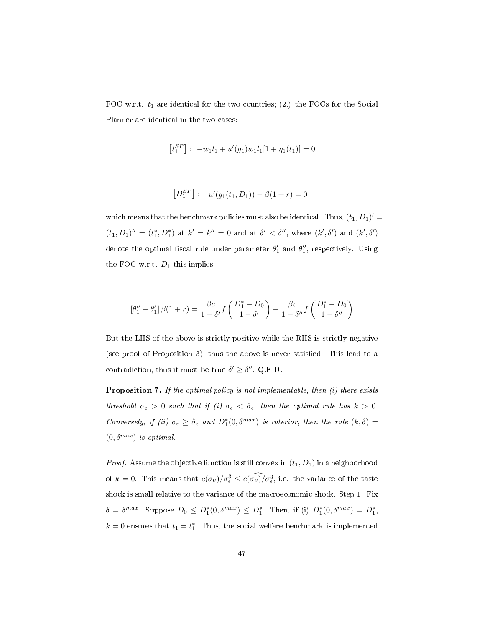FOC w.r.t.  $t_1$  are identical for the two countries; (2.) the FOCs for the Social Planner are identical in the two cases:

$$
\left[t_1^{SP}\right]:\ -w_1l_1+u'(g_1)w_1l_1[1+\eta_1(t_1)]=0
$$

$$
[D_1^{SP}] : u'(g_1(t_1, D_1)) - \beta(1+r) = 0
$$

which means that the benchmark policies must also be identical. Thus,  $(t_1, D_1)'$  =  $(t_1, D_1)'' = (t_1^*, D_1^*)$  at  $k' = k'' = 0$  and at  $\delta' < \delta''$ , where  $(k', \delta')$  and  $(k', \delta')$ denote the optimal fiscal rule under parameter  $\theta'_1$  and  $\theta''_1$ , respectively. Using the FOC w.r.t.  $D_1$  this implies

$$
\left[\theta_1'' - \theta_1'\right]\beta(1+r) = \frac{\beta c}{1-\delta'}f\left(\frac{D_1^*-D_0}{1-\delta'}\right) - \frac{\beta c}{1-\delta''}f\left(\frac{D_1^*-D_0}{1-\delta''}\right)
$$

But the LHS of the above is strictly positive while the RHS is strictly negative (see proof of Proposition 3), thus the above is never satisfied. This lead to a contradiction, thus it must be true  $\delta' \geq \delta''$ . Q.E.D.

**Proposition 7.** If the optimal policy is not implementable, then  $(i)$  there exists threshold  $\mathring{\sigma}_{\epsilon} > 0$  such that if (i)  $\sigma_{\epsilon} < \mathring{\sigma}_{\epsilon}$ , then the optimal rule has  $k > 0$ . Conversely, if (ii)  $\sigma_{\epsilon} \geq \mathring{\sigma}_{\epsilon}$  and  $D_1^*(0, \delta^{max})$  is interior, then the rule  $(k, \delta)$  =  $(0, \delta^{max})$  is optimal.

*Proof.* Assume the objective function is still convex in  $(t_1, D_1)$  in a neighborhood of  $k = 0$ . This means that  $c(\sigma_{\nu})/\sigma_{\epsilon}^3 \leq c(\sigma_{\nu})/\sigma_{\epsilon}^3$ , i.e. the variance of the taste shock is small relative to the variance of the macroeconomic shock. Step 1. Fix  $\delta = \delta^{max}$ . Suppose  $D_0 \le D_1^*(0, \delta^{max}) \le D_1^*$ . Then, if (i)  $D_1^*(0, \delta^{max}) = D_1^*$ ,  $k = 0$  ensures that  $t_1 = t_1^*$ . Thus, the social welfare benchmark is implemented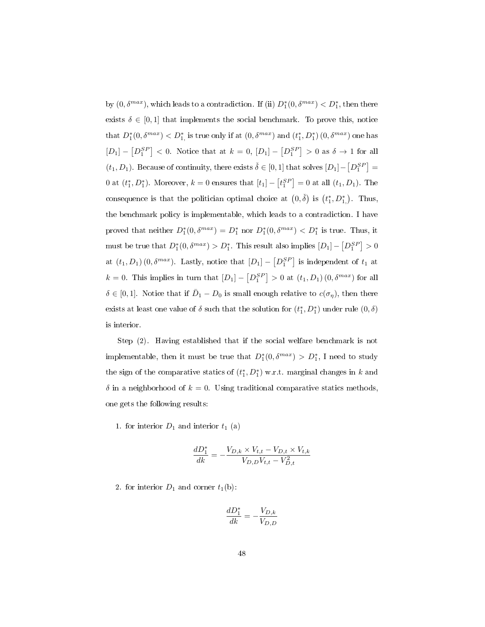by  $(0, \delta^{max})$ , which leads to a contradiction. If (ii)  $D_1^*(0, \delta^{max}) < D_1^*$ , then there exists  $\delta \in [0,1]$  that implements the social benchmark. To prove this, notice that  $D_1^*(0, \delta^{max}) < D_1^*$  is true only if at  $(0, \delta^{max})$  and  $(t_1^*, D_1^*) (0, \delta^{max})$  one has  $[D_1] - [D_1^{SP}] < 0$ . Notice that at  $k = 0$ ,  $[D_1] - [D_1^{SP}] > 0$  as  $\delta \to 1$  for all  $(t_1, D_1)$ . Because of continuity, there exists  $\check{\delta} \in [0, 1]$  that solves  $[D_1] - [D_1^{SP}] =$ 0 at  $(t_1^*, D_1^*)$ . Moreover,  $k = 0$  ensures that  $[t_1] - [t_1^{SP}] = 0$  at all  $(t_1, D_1)$ . The consequence is that the politician optimal choice at  $(0, \check{\delta})$  is  $(t_1^*, D_1^*)$ . Thus, the benchmark policy is implementable, which leads to a contradiction. I have proved that neither  $D_1^*(0, \delta^{max}) = D_1^*$  nor  $D_1^*(0, \delta^{max}) < D_1^*$  is true. Thus, it must be true that  $D_1^*(0, \delta^{max}) > D_1^*$ . This result also implies  $[D_1] - [D_1^{SP}] > 0$ at  $(t_1, D_1)$   $(0, \delta^{max})$ . Lastly, notice that  $[D_1] - [D_1^{SP}]$  is independent of  $t_1$  at  $k = 0$ . This implies in turn that  $[D_1] - [D_1^{SP}] > 0$  at  $(t_1, D_1) (0, \delta^{max})$  for all  $\delta \in [0,1]$ . Notice that if  $\bar{D}_1 - D_0$  is small enough relative to  $c(\sigma_{\eta})$ , then there exists at least one value of  $\delta$  such that the solution for  $(t_1^*, D_1^*)$  under rule  $(0, \delta)$ is interior.

Step (2). Having established that if the social welfare benchmark is not implementable, then it must be true that  $D_1^*(0, \delta^{max}) > D_1^*$ , I need to study the sign of the comparative statics of  $(t_1^*, D_1^*)$  w.r.t. marginal changes in k and  $\delta$  in a neighborhood of  $k = 0$ . Using traditional comparative statics methods, one gets the following results:

1. for interior  $D_1$  and interior  $t_1$  (a)

$$
\frac{dD_1^*}{dk} = -\frac{V_{D,k} \times V_{t,t} - V_{D,t} \times V_{t,k}}{V_{D,D}V_{t,t} - V_{D,t}^2}
$$

2. for interior  $D_1$  and corner  $t_1(b)$ :

$$
\frac{dD_1^*}{dk} = -\frac{V_{D,k}}{V_{D,D}}
$$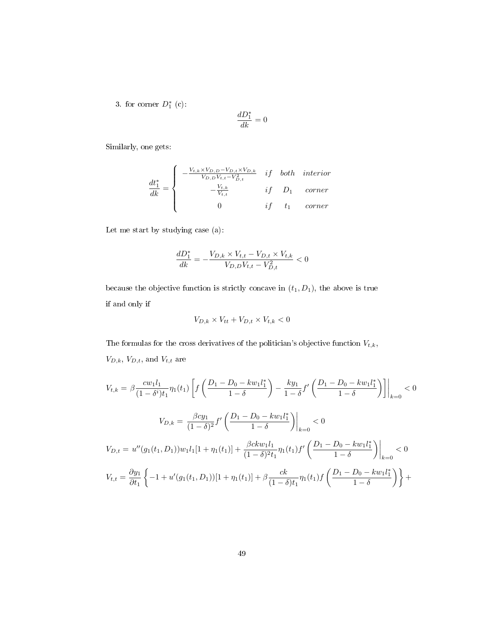3. for corner  $D_1^*$  (c):

$$
\frac{dD_1^*}{dk}=0
$$

Similarly, one gets:

$$
\frac{dt_1^*}{dk} = \begin{cases}\n-\frac{V_{t,k} \times V_{D,D} - V_{D,t} \times V_{D,k}}{V_{D,D} V_{t,t} - V_{D,t}^2} & if \quad both \quad interior \\
-\frac{V_{t,k}}{V_{t,t}} & if \quad D_1 \quad corner \\
0 & if \quad t_1 \quad corner\n\end{cases}
$$

Let me start by studying case (a):

$$
\frac{dD_1^*}{dk} = -\frac{V_{D,k} \times V_{t,t} - V_{D,t} \times V_{t,k}}{V_{D,D}V_{t,t} - V_{D,t}^2} < 0
$$

because the objective function is strictly concave in  $(t_1, D_1)$ , the above is true if and only if

$$
V_{D,k} \times V_{tt} + V_{D,t} \times V_{t,k} < 0
$$

The formulas for the cross derivatives of the politician's objective function  $V_{t,k}$ ,  $\mathcal{V}_{D,k},\, \mathcal{V}_{D,t},$  and  $\mathcal{V}_{t,t}$  are

$$
V_{t,k} = \beta \frac{cw_1 l_1}{(1 - \delta^i)t_1} \eta_1(t_1) \left[ f\left(\frac{D_1 - D_0 - kw_1 l_1^*}{1 - \delta}\right) - \frac{ky_1}{1 - \delta} f'\left(\frac{D_1 - D_0 - kw_1 l_1^*}{1 - \delta}\right) \right] \Big|_{k=0} < 0
$$
  

$$
V_{D,k} = \frac{\beta c y_1}{(1 - \delta)^2} f'\left(\frac{D_1 - D_0 - kw_1 l_1^*}{1 - \delta}\right) \Big|_{k=0} < 0
$$
  

$$
V_{D,t} = u''(g_1(t_1, D_1))w_1 l_1 [1 + \eta_1(t_1)] + \frac{\beta c k w_1 l_1}{(1 - \delta)^2 t_1} \eta_1(t_1) f'\left(\frac{D_1 - D_0 - kw_1 l_1^*}{1 - \delta}\right) \Big|_{k=0} < 0
$$
  

$$
V_{t,t} = \frac{\partial y_1}{\partial t_1} \left\{-1 + u'(g_1(t_1, D_1))[1 + \eta_1(t_1)] + \beta \frac{ck}{(1 - \delta)t_1} \eta_1(t_1) f\left(\frac{D_1 - D_0 - kw_1 l_1^*}{1 - \delta}\right) \right\} +
$$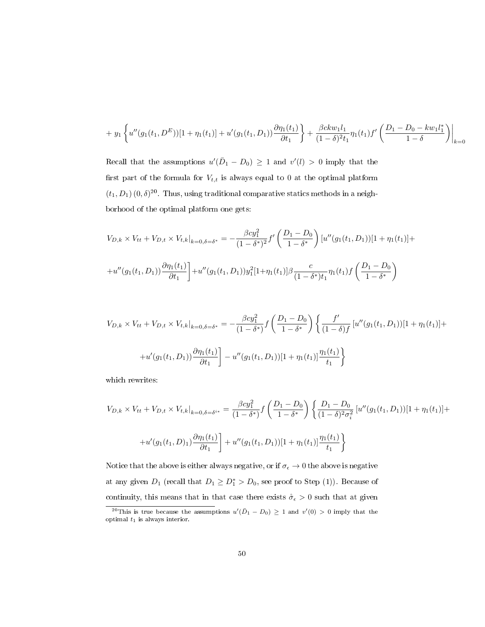$$
+ y_1 \left\{ u''(g_1(t_1, D^E)) [1 + \eta_1(t_1)] + u'(g_1(t_1, D_1)) \frac{\partial \eta_1(t_1)}{\partial t_1} + \frac{\beta c k w_1 l_1}{(1 - \delta)^2 t_1} \eta_1(t_1) f' \left( \frac{D_1 - D_0 - k w_1 l_1^*}{1 - \delta} \right) \right\}_{k=0}
$$

Recall that the assumptions  $u'(\bar{D}_1 - D_0) \geq 1$  and  $v'(l) > 0$  imply that the first part of the formula for  $V_{t,t}$  is always equal to 0 at the optimal platform  $(t_1, D_1)$   $(0, \delta)^{20}$ . Thus, using traditional comparative statics methods in a neighborhood of the optimal platform one gets:

$$
V_{D,k} \times V_{tt} + V_{D,t} \times V_{t,k}|_{k=0,\delta=\delta^*} = -\frac{\beta c y_1^2}{(1-\delta^*)^2} f' \left(\frac{D_1 - D_0}{1-\delta^*}\right) [u''(g_1(t_1, D_1))[1 + \eta_1(t_1)] ++ u''(g_1(t_1, D_1)) \frac{\partial \eta_1(t_1)}{\partial t_1}] + u''(g_1(t_1, D_1)) y_1^2 [1 + \eta_1(t_1)] \beta \frac{c}{(1-\delta^*) t_1} \eta_1(t_1) f\left(\frac{D_1 - D_0}{1-\delta^*}\right)
$$

$$
V_{D,k} \times V_{tt} + V_{D,t} \times V_{t,k}|_{k=0,\delta=\delta^*} = -\frac{\beta c y_1^2}{(1-\delta^*)} f\left(\frac{D_1 - D_0}{1-\delta^*}\right) \left\{ \frac{f'}{(1-\delta)f} \left[ u''(g_1(t_1, D_1)) [1 + \eta_1(t_1)] + u'(g_1(t_1, D_1)) \frac{\partial \eta_1(t_1)}{\partial t_1} \right] - u''(g_1(t_1, D_1)) [1 + \eta_1(t_1)] \frac{\eta_1(t_1)}{t_1} \right\}
$$

which rewrites:

$$
V_{D,k} \times V_{tt} + V_{D,t} \times V_{t,k}|_{k=0,\delta=\delta^{i*}} = \frac{\beta c y_1^2}{(1-\delta^*)} f\left(\frac{D_1 - D_0}{1-\delta^*}\right) \left\{ \frac{D_1 - D_0}{(1-\delta)^2 \sigma_i^2} \left[ u''(g_1(t_1, D_1)) [1 + \eta_1(t_1)] + u''(g_1(t_1, D_1)) \frac{\partial \eta_1(t_1)}{\partial t_1} \right] + u''(g_1(t_1, D_1)) [1 + \eta_1(t_1)] \frac{\eta_1(t_1)}{t_1} \right\}
$$

Notice that the above is either always negative, or if  $\sigma_\epsilon \to 0$  the above is negative at any given  $D_1$  (recall that  $D_1 \geq D_1^* > D_0$ , see proof to Step (1)). Because of continuity, this means that in that case there exists  $\mathring{\sigma}_{\epsilon} > 0$  such that at given

<sup>&</sup>lt;sup>20</sup>This is true because the assumptions  $u'(\bar{D}_1 - D_0) \geq 1$  and  $v'(0) > 0$  imply that the optimal  $t_1$  is always interior.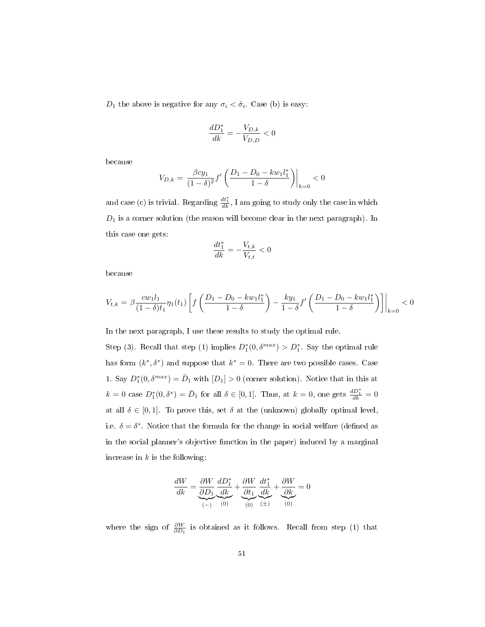$D_1$  the above is negative for any  $\sigma_i < \sigma_i$ . Case (b) is easy:

$$
\frac{dD_1^*}{dk}=-\frac{V_{D,k}}{V_{D,D}}<0
$$

because

$$
V_{D,k} = \left. \frac{\beta c y_1}{(1 - \delta)^2} f'\left(\frac{D_1 - D_0 - k w_1 l_1^*}{1 - \delta}\right) \right|_{k=0} < 0
$$

and case (c) is trivial. Regarding  $\frac{dt_1^*}{dk}$ , I am going to study only the case in which  $D_1$  is a corner solution (the reason will become clear in the next paragraph). In this case one gets:

$$
\frac{dt_1^*}{dk}=-\frac{V_{t,k}}{V_{t,t}}<0
$$

because

$$
V_{t,k} = \beta \frac{c w_1 l_1}{(1 - \delta) t_1} \eta_1(t_1) \left[ f \left( \frac{D_1 - D_0 - k w_1 l_1^*}{1 - \delta} \right) - \frac{k y_1}{1 - \delta} f' \left( \frac{D_1 - D_0 - k w_1 l_1^*}{1 - \delta} \right) \right] \Big|_{k=0} < 0
$$

In the next paragraph, I use these results to study the optimal rule.

Step (3). Recall that step (1) implies  $D_1^*(0, \delta^{max}) > D_1^*$ . Say the optimal rule has form  $(k^*, \delta^*)$  and suppose that  $k^* = 0$ . There are two possible cases. Case 1. Say  $D_1^*(0, \delta^{max}) = \overline{D}_1$  with  $[D_1] > 0$  (corner solution). Notice that in this at  $k = 0$  case  $D_1^*(0, \delta^*) = \overline{D}_1$  for all  $\delta \in [0, 1]$ . Thus, at  $k = 0$ , one gets  $\frac{dD_1^*}{dk} = 0$ at all  $\delta \in [0,1]$ . To prove this, set  $\delta$  at the (unknown) globally optimal level, i.e.  $\delta = \delta^*$ . Notice that the formula for the change in social welfare (defined as in the social planner's objective function in the paper) induced by a marginal increase in  $k$  is the following:

$$
\frac{dW}{dk} = \underbrace{\frac{\partial W}{\partial D_1}}_{(-)} \underbrace{\frac{dD_1^*}{dk}}_{(0)} + \underbrace{\frac{\partial W}{\partial t_1}}_{(0)} \underbrace{\frac{dt_1^*}{dk}}_{(t)} + \underbrace{\frac{\partial W}{\partial k}}_{(0)} = 0
$$

where the sign of  $\frac{\partial W}{\partial D_1}$  is obtained as it follows. Recall from step (1) that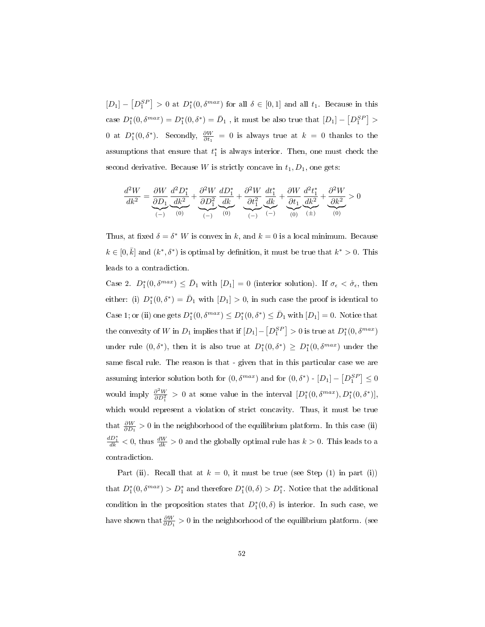$[D_1] - [D_1^{SP}] > 0$  at  $D_1^*(0, \delta^{max})$  for all  $\delta \in [0, 1]$  and all  $t_1$ . Because in this case  $D_1^*(0, \delta^{max}) = D_1^*(0, \delta^*) = \bar{D}_1$ , it must be also true that  $[D_1] - [D_1^{SP}] >$ 0 at  $D_1^*(0, \delta^*)$ . Secondly,  $\frac{\partial W}{\partial t_1} = 0$  is always true at  $k = 0$  thanks to the assumptions that ensure that  $t_1^*$  is always interior. Then, one must check the second derivative. Because W is strictly concave in  $t_1, D_1$ , one gets:

$$
\frac{d^2W}{dk^2} = \underbrace{\frac{\partial W}{\partial D_1}}_{(-)} \underbrace{\frac{d^2D_1^*}{dk^2}}_{(-)} + \underbrace{\frac{\partial^2W}{\partial D_1^2}}_{(-)} \underbrace{\frac{dD_1^*}{dk}}_{(-)} + \underbrace{\frac{\partial^2W}{\partial t_1^2}}_{(-)} \underbrace{\frac{d t_1^*}{dk}}_{(-)} + \underbrace{\frac{\partial W}{\partial t_1}}_{(0)} \underbrace{\frac{d^2t_1^*}{dk^2}}_{(0)} + \underbrace{\frac{\partial^2W}{\partial k^2}}_{(0)} > 0
$$

Thus, at fixed  $\delta = \delta^* W$  is convex in k, and  $k = 0$  is a local minimum. Because  $k \in [0, \bar{k}]$  and  $(k^*, \delta^*)$  is optimal by definition, it must be true that  $k^* > 0$ . This leads to a contradiction.

Case 2.  $D_1^*(0, \delta^{max}) \leq \bar{D}_1$  with  $[D_1] = 0$  (interior solution). If  $\sigma_{\epsilon} < \mathring{\sigma}_{\epsilon}$ , then either: (i)  $D_1^*(0, \delta^*) = \overline{D}_1$  with  $[D_1] > 0$ , in such case the proof is identical to Case 1; or (ii) one gets  $D_1^*(0, \delta^{max}) \le D_1^*(0, \delta^*) \le \overline{D}_1$  with  $[D_1] = 0$ . Notice that the convexity of W in  $D_1$  implies that if  $[D_1] - \left[D_1^{SP}\right] > 0$  is true at  $D_1^*(0, \delta^{max})$ under rule  $(0, \delta^*)$ , then it is also true at  $D_1^*(0, \delta^*) \ge D_1^*(0, \delta^{max})$  under the same fiscal rule. The reason is that - given that in this particular case we are assuming interior solution both for  $(0, \delta^{max})$  and for  $(0, \delta^*)$  -  $[D_1] - [D_1^{SP}] \leq 0$ would imply  $\frac{\partial^2 W}{\partial D_1^2} > 0$  at some value in the interval  $[D_1^*(0, \delta^{max}), D_1^*(0, \delta^*)],$ which would represent a violation of strict concavity. Thus, it must be true that  $\frac{\partial W}{\partial D_1} > 0$  in the neighborhood of the equilibrium platform. In this case (ii)  $\frac{dD_1^*}{dk}$  < 0, thus  $\frac{dW}{dk} > 0$  and the globally optimal rule has  $k > 0$ . This leads to a contradiction.

Part (ii). Recall that at  $k = 0$ , it must be true (see Step (1) in part (i)) that  $D_1^*(0, \delta^{max}) > D_1^*$  and therefore  $D_1^*(0, \delta) > D_1^*$ . Notice that the additional condition in the proposition states that  $D_1^*(0, \delta)$  is interior. In such case, we have shown that  $\frac{\partial W}{\partial D_1} > 0$  in the neighborhood of the equilibrium platform. (see